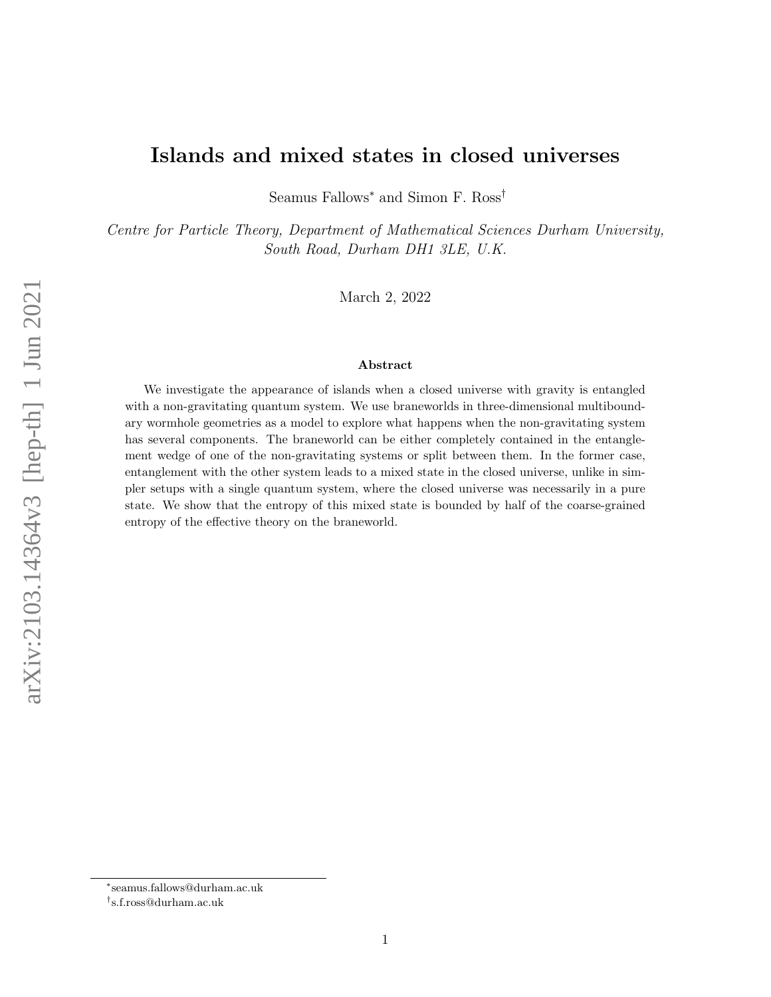# Islands and mixed states in closed universes

Seamus Fallows<sup>∗</sup> and Simon F. Ross†

Centre for Particle Theory, Department of Mathematical Sciences Durham University, South Road, Durham DH1 3LE, U.K.

March 2, 2022

#### Abstract

We investigate the appearance of islands when a closed universe with gravity is entangled with a non-gravitating quantum system. We use braneworlds in three-dimensional multiboundary wormhole geometries as a model to explore what happens when the non-gravitating system has several components. The braneworld can be either completely contained in the entanglement wedge of one of the non-gravitating systems or split between them. In the former case, entanglement with the other system leads to a mixed state in the closed universe, unlike in simpler setups with a single quantum system, where the closed universe was necessarily in a pure state. We show that the entropy of this mixed state is bounded by half of the coarse-grained entropy of the effective theory on the braneworld.

<sup>∗</sup> seamus.fallows@durham.ac.uk

<sup>†</sup> s.f.ross@durham.ac.uk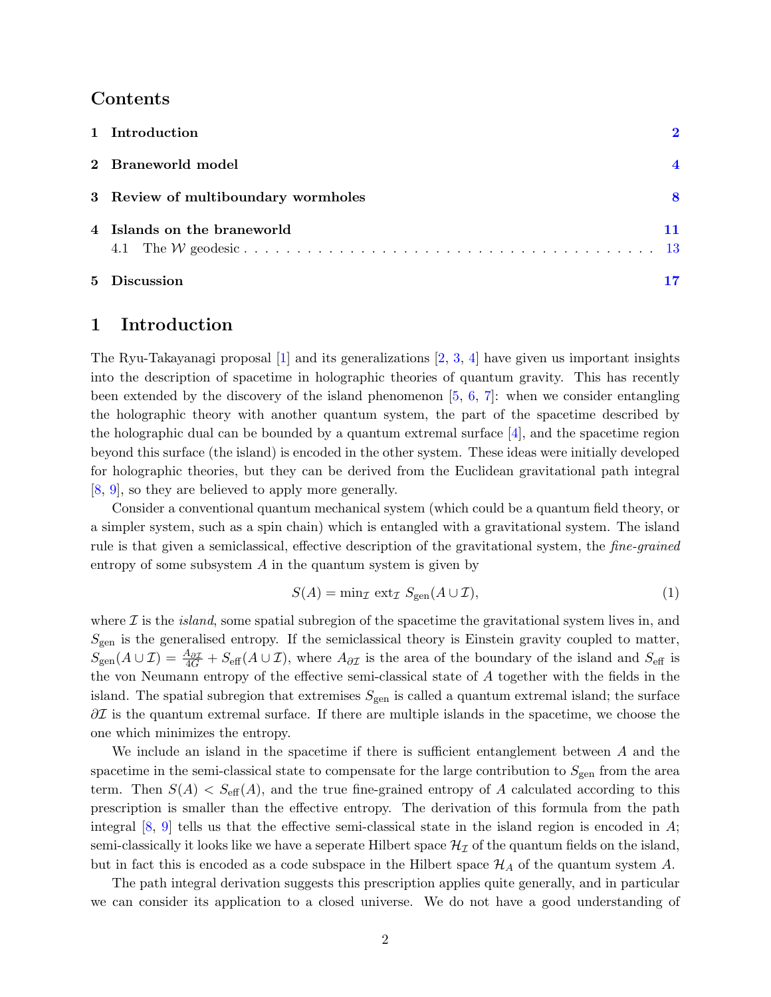# Contents

|                | 1 Introduction                      | $\mathbf{p}$ |
|----------------|-------------------------------------|--------------|
|                | 2 Braneworld model                  |              |
|                | 3 Review of multiboundary wormholes | 8            |
|                | 4 Islands on the braneworld         |              |
| 5 <sup>5</sup> | <b>Discussion</b>                   |              |

### <span id="page-1-0"></span>1 Introduction

The Ryu-Takayanagi proposal  $[1]$  and its generalizations  $[2, 3, 4]$  $[2, 3, 4]$  $[2, 3, 4]$  $[2, 3, 4]$  have given us important insights into the description of spacetime in holographic theories of quantum gravity. This has recently been extended by the discovery of the island phenomenon  $[5, 6, 7]$  $[5, 6, 7]$  $[5, 6, 7]$  $[5, 6, 7]$ : when we consider entangling the holographic theory with another quantum system, the part of the spacetime described by the holographic dual can be bounded by a quantum extremal surface [\[4\]](#page-18-3), and the spacetime region beyond this surface (the island) is encoded in the other system. These ideas were initially developed for holographic theories, but they can be derived from the Euclidean gravitational path integral [\[8,](#page-18-7) [9\]](#page-18-8), so they are believed to apply more generally.

Consider a conventional quantum mechanical system (which could be a quantum field theory, or a simpler system, such as a spin chain) which is entangled with a gravitational system. The island rule is that given a semiclassical, effective description of the gravitational system, the fine-grained entropy of some subsystem  $A$  in the quantum system is given by

$$
S(A) = \min_{\mathcal{I}} \operatorname{ext}_{\mathcal{I}} S_{\text{gen}}(A \cup \mathcal{I}), \tag{1}
$$

where  $\mathcal I$  is the *island*, some spatial subregion of the spacetime the gravitational system lives in, and  $S_{\text{gen}}$  is the generalised entropy. If the semiclassical theory is Einstein gravity coupled to matter,  $S_{\text{gen}}(A\cup\mathcal{I})=\frac{A_{\partial\mathcal{I}}}{4G}+S_{\text{eff}}(A\cup\mathcal{I}),$  where  $A_{\partial\mathcal{I}}$  is the area of the boundary of the island and  $S_{\text{eff}}$  is the von Neumann entropy of the effective semi-classical state of A together with the fields in the island. The spatial subregion that extremises  $S_{\text{gen}}$  is called a quantum extremal island; the surface  $\partial \mathcal{I}$  is the quantum extremal surface. If there are multiple islands in the spacetime, we choose the one which minimizes the entropy.

We include an island in the spacetime if there is sufficient entanglement between A and the spacetime in the semi-classical state to compensate for the large contribution to  $S_{gen}$  from the area term. Then  $S(A) < S_{\text{eff}}(A)$ , and the true fine-grained entropy of A calculated according to this prescription is smaller than the effective entropy. The derivation of this formula from the path integral  $[8, 9]$  $[8, 9]$  tells us that the effective semi-classical state in the island region is encoded in A; semi-classically it looks like we have a seperate Hilbert space  $\mathcal{H}_{\mathcal{I}}$  of the quantum fields on the island, but in fact this is encoded as a code subspace in the Hilbert space  $\mathcal{H}_A$  of the quantum system A.

The path integral derivation suggests this prescription applies quite generally, and in particular we can consider its application to a closed universe. We do not have a good understanding of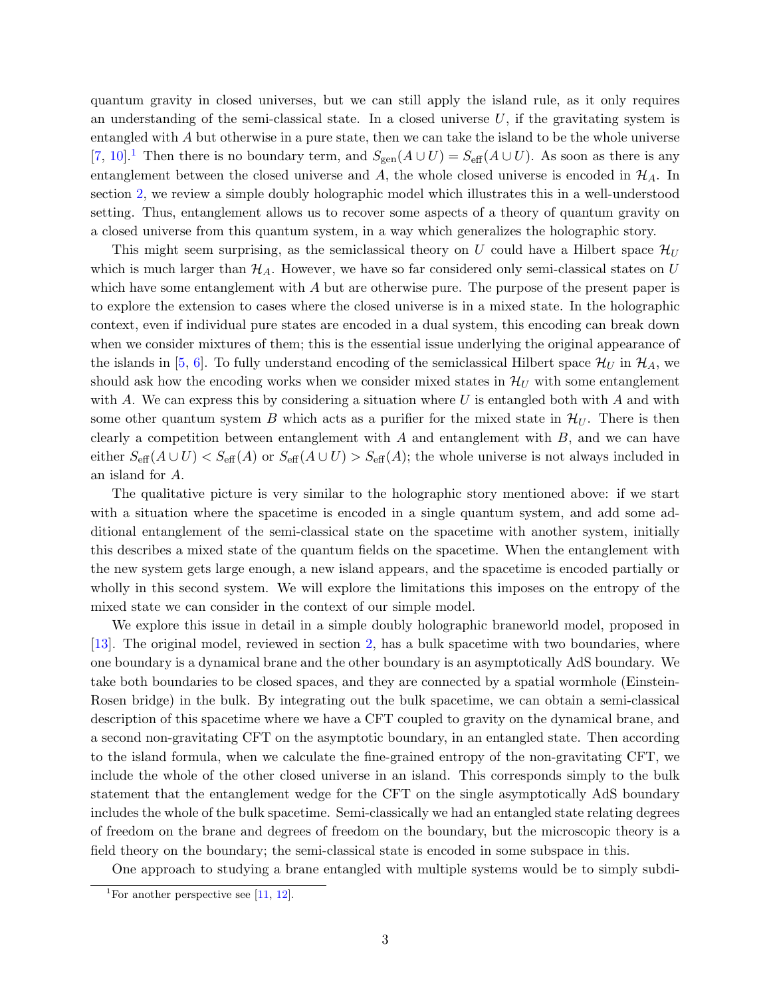quantum gravity in closed universes, but we can still apply the island rule, as it only requires an understanding of the semi-classical state. In a closed universe  $U$ , if the gravitating system is entangled with A but otherwise in a pure state, then we can take the island to be the whole universe [\[7,](#page-18-6) [10\]](#page-18-9).<sup>[1](#page-2-0)</sup> Then there is no boundary term, and  $S_{gen}(A\cup U) = S_{\text{eff}}(A\cup U)$ . As soon as there is any entanglement between the closed universe and A, the whole closed universe is encoded in  $\mathcal{H}_A$ . In section [2,](#page-3-0) we review a simple doubly holographic model which illustrates this in a well-understood setting. Thus, entanglement allows us to recover some aspects of a theory of quantum gravity on a closed universe from this quantum system, in a way which generalizes the holographic story.

This might seem surprising, as the semiclassical theory on U could have a Hilbert space  $\mathcal{H}_{U}$ which is much larger than  $\mathcal{H}_A$ . However, we have so far considered only semi-classical states on U which have some entanglement with A but are otherwise pure. The purpose of the present paper is to explore the extension to cases where the closed universe is in a mixed state. In the holographic context, even if individual pure states are encoded in a dual system, this encoding can break down when we consider mixtures of them; this is the essential issue underlying the original appearance of the islands in [\[5,](#page-18-4) [6\]](#page-18-5). To fully understand encoding of the semiclassical Hilbert space  $\mathcal{H}_U$  in  $\mathcal{H}_A$ , we should ask how the encoding works when we consider mixed states in  $\mathcal{H}_U$  with some entanglement with A. We can express this by considering a situation where U is entangled both with A and with some other quantum system B which acts as a purifier for the mixed state in  $\mathcal{H}_U$ . There is then clearly a competition between entanglement with  $A$  and entanglement with  $B$ , and we can have either  $S_{\text{eff}}(A\cup U) < S_{\text{eff}}(A)$  or  $S_{\text{eff}}(A\cup U) > S_{\text{eff}}(A)$ ; the whole universe is not always included in an island for A.

The qualitative picture is very similar to the holographic story mentioned above: if we start with a situation where the spacetime is encoded in a single quantum system, and add some additional entanglement of the semi-classical state on the spacetime with another system, initially this describes a mixed state of the quantum fields on the spacetime. When the entanglement with the new system gets large enough, a new island appears, and the spacetime is encoded partially or wholly in this second system. We will explore the limitations this imposes on the entropy of the mixed state we can consider in the context of our simple model.

We explore this issue in detail in a simple doubly holographic braneworld model, proposed in [\[13\]](#page-18-10). The original model, reviewed in section [2,](#page-3-0) has a bulk spacetime with two boundaries, where one boundary is a dynamical brane and the other boundary is an asymptotically AdS boundary. We take both boundaries to be closed spaces, and they are connected by a spatial wormhole (Einstein-Rosen bridge) in the bulk. By integrating out the bulk spacetime, we can obtain a semi-classical description of this spacetime where we have a CFT coupled to gravity on the dynamical brane, and a second non-gravitating CFT on the asymptotic boundary, in an entangled state. Then according to the island formula, when we calculate the fine-grained entropy of the non-gravitating CFT, we include the whole of the other closed universe in an island. This corresponds simply to the bulk statement that the entanglement wedge for the CFT on the single asymptotically AdS boundary includes the whole of the bulk spacetime. Semi-classically we had an entangled state relating degrees of freedom on the brane and degrees of freedom on the boundary, but the microscopic theory is a field theory on the boundary; the semi-classical state is encoded in some subspace in this.

One approach to studying a brane entangled with multiple systems would be to simply subdi-

<span id="page-2-0"></span><sup>&</sup>lt;sup>1</sup>For another perspective see [\[11,](#page-18-11) [12\]](#page-18-12).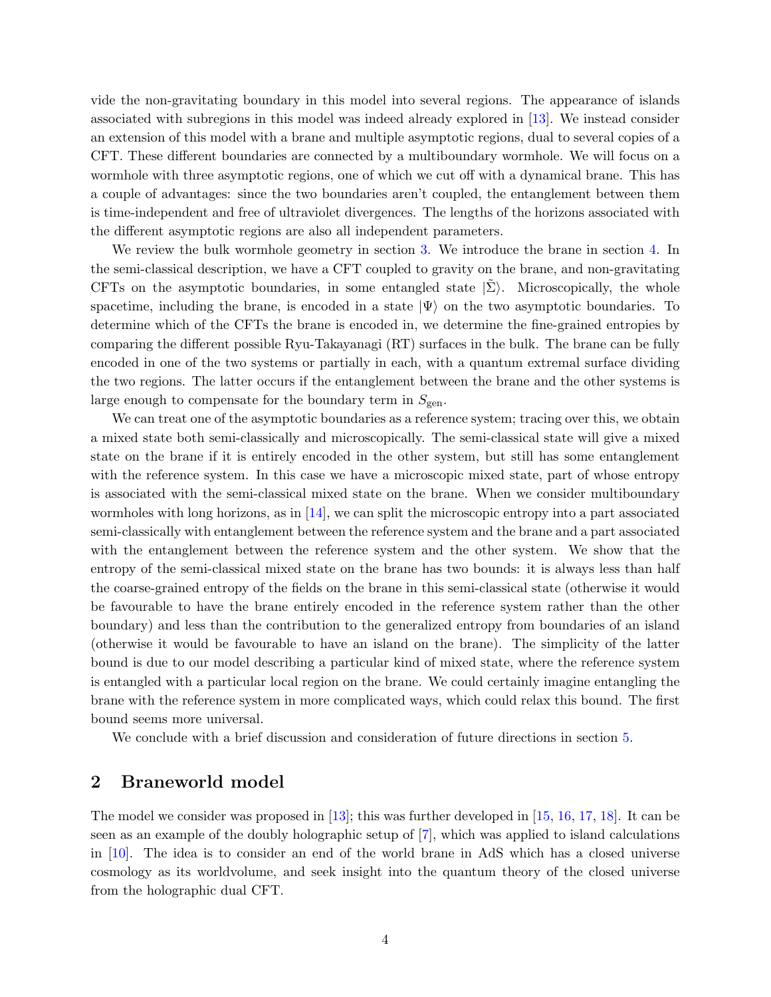vide the non-gravitating boundary in this model into several regions. The appearance of islands associated with subregions in this model was indeed already explored in [\[13\]](#page-18-10). We instead consider an extension of this model with a brane and multiple asymptotic regions, dual to several copies of a CFT. These different boundaries are connected by a multiboundary wormhole. We will focus on a wormhole with three asymptotic regions, one of which we cut off with a dynamical brane. This has a couple of advantages: since the two boundaries aren't coupled, the entanglement between them is time-independent and free of ultraviolet divergences. The lengths of the horizons associated with the different asymptotic regions are also all independent parameters.

We review the bulk wormhole geometry in section [3.](#page-7-0) We introduce the brane in section [4.](#page-10-0) In the semi-classical description, we have a CFT coupled to gravity on the brane, and non-gravitating CFTs on the asymptotic boundaries, in some entangled state  $|\Sigma\rangle$ . Microscopically, the whole spacetime, including the brane, is encoded in a state  $|\Psi\rangle$  on the two asymptotic boundaries. To determine which of the CFTs the brane is encoded in, we determine the fine-grained entropies by comparing the different possible Ryu-Takayanagi (RT) surfaces in the bulk. The brane can be fully encoded in one of the two systems or partially in each, with a quantum extremal surface dividing the two regions. The latter occurs if the entanglement between the brane and the other systems is large enough to compensate for the boundary term in  $S_{gen}$ .

We can treat one of the asymptotic boundaries as a reference system; tracing over this, we obtain a mixed state both semi-classically and microscopically. The semi-classical state will give a mixed state on the brane if it is entirely encoded in the other system, but still has some entanglement with the reference system. In this case we have a microscopic mixed state, part of whose entropy is associated with the semi-classical mixed state on the brane. When we consider multiboundary wormholes with long horizons, as in  $[14]$ , we can split the microscopic entropy into a part associated semi-classically with entanglement between the reference system and the brane and a part associated with the entanglement between the reference system and the other system. We show that the entropy of the semi-classical mixed state on the brane has two bounds: it is always less than half the coarse-grained entropy of the fields on the brane in this semi-classical state (otherwise it would be favourable to have the brane entirely encoded in the reference system rather than the other boundary) and less than the contribution to the generalized entropy from boundaries of an island (otherwise it would be favourable to have an island on the brane). The simplicity of the latter bound is due to our model describing a particular kind of mixed state, where the reference system is entangled with a particular local region on the brane. We could certainly imagine entangling the brane with the reference system in more complicated ways, which could relax this bound. The first bound seems more universal.

We conclude with a brief discussion and consideration of future directions in section [5.](#page-16-0)

## <span id="page-3-0"></span>2 Braneworld model

The model we consider was proposed in [\[13\]](#page-18-10); this was further developed in [\[15,](#page-18-14) [16,](#page-19-0) [17,](#page-19-1) [18\]](#page-19-2). It can be seen as an example of the doubly holographic setup of [\[7\]](#page-18-6), which was applied to island calculations in [\[10\]](#page-18-9). The idea is to consider an end of the world brane in AdS which has a closed universe cosmology as its worldvolume, and seek insight into the quantum theory of the closed universe from the holographic dual CFT.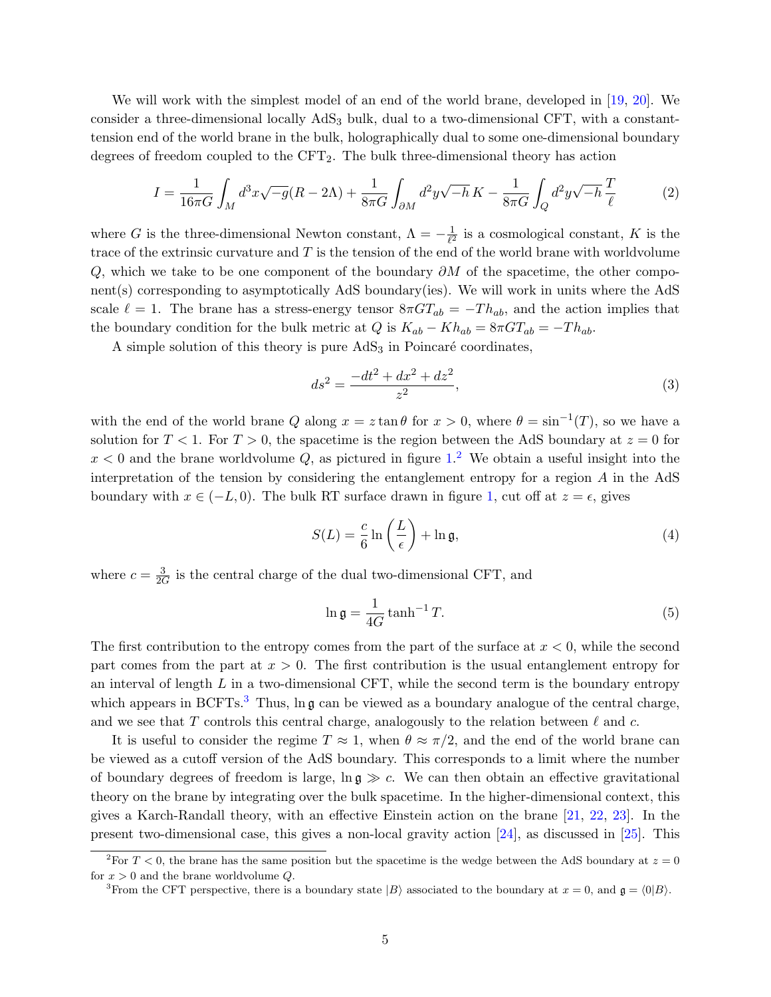We will work with the simplest model of an end of the world brane, developed in [\[19,](#page-19-3) [20\]](#page-19-4). We consider a three-dimensional locally AdS<sub>3</sub> bulk, dual to a two-dimensional CFT, with a constanttension end of the world brane in the bulk, holographically dual to some one-dimensional boundary degrees of freedom coupled to the CFT2. The bulk three-dimensional theory has action

$$
I = \frac{1}{16\pi G} \int_M d^3x \sqrt{-g} (R - 2\Lambda) + \frac{1}{8\pi G} \int_{\partial M} d^2y \sqrt{-h} K - \frac{1}{8\pi G} \int_Q d^2y \sqrt{-h} \frac{T}{\ell} \tag{2}
$$

where G is the three-dimensional Newton constant,  $\Lambda = -\frac{1}{\ell^2}$  $\frac{1}{\ell^2}$  is a cosmological constant, K is the trace of the extrinsic curvature and  $T$  is the tension of the end of the world brane with worldvolume Q, which we take to be one component of the boundary  $\partial M$  of the spacetime, the other component(s) corresponding to asymptotically AdS boundary(ies). We will work in units where the AdS scale  $\ell = 1$ . The brane has a stress-energy tensor  $8\pi GT_{ab} = -Th_{ab}$ , and the action implies that the boundary condition for the bulk metric at  $Q$  is  $K_{ab} - Kh_{ab} = 8\pi G T_{ab} = -Th_{ab}$ .

A simple solution of this theory is pure  $AdS<sub>3</sub>$  in Poincaré coordinates,

<span id="page-4-3"></span>
$$
ds^2 = \frac{-dt^2 + dx^2 + dz^2}{z^2},
$$
\n(3)

with the end of the world brane Q along  $x = z \tan \theta$  for  $x > 0$ , where  $\theta = \sin^{-1}(T)$ , so we have a solution for  $T < 1$ . For  $T > 0$ , the spacetime is the region between the AdS boundary at  $z = 0$  for  $x < 0$  and the brane worldvolume Q, as pictured in figure [1.](#page-5-0)<sup>[2](#page-4-0)</sup> We obtain a useful insight into the interpretation of the tension by considering the entanglement entropy for a region A in the AdS boundary with  $x \in (-L, 0)$ . The bulk RT surface drawn in figure [1,](#page-5-0) cut off at  $z = \epsilon$ , gives

<span id="page-4-2"></span>
$$
S(L) = \frac{c}{6} \ln \left( \frac{L}{\epsilon} \right) + \ln \mathfrak{g},\tag{4}
$$

where  $c = \frac{3}{26}$  $\frac{3}{2G}$  is the central charge of the dual two-dimensional CFT, and

$$
\ln \mathfrak{g} = \frac{1}{4G} \tanh^{-1} T. \tag{5}
$$

The first contribution to the entropy comes from the part of the surface at  $x < 0$ , while the second part comes from the part at  $x > 0$ . The first contribution is the usual entanglement entropy for an interval of length  $L$  in a two-dimensional CFT, while the second term is the boundary entropy which appears in BCFTs.<sup>[3](#page-4-1)</sup> Thus,  $\ln \mathfrak{g}$  can be viewed as a boundary analogue of the central charge, and we see that T controls this central charge, analogously to the relation between  $\ell$  and c.

It is useful to consider the regime  $T \approx 1$ , when  $\theta \approx \pi/2$ , and the end of the world brane can be viewed as a cutoff version of the AdS boundary. This corresponds to a limit where the number of boundary degrees of freedom is large,  $\ln \mathfrak{g} \gg c$ . We can then obtain an effective gravitational theory on the brane by integrating over the bulk spacetime. In the higher-dimensional context, this gives a Karch-Randall theory, with an effective Einstein action on the brane [\[21,](#page-19-5) [22,](#page-19-6) [23\]](#page-19-7). In the present two-dimensional case, this gives a non-local gravity action [\[24\]](#page-19-8), as discussed in [\[25\]](#page-19-9). This

<span id="page-4-0"></span><sup>&</sup>lt;sup>2</sup>For  $T < 0$ , the brane has the same position but the spacetime is the wedge between the AdS boundary at  $z = 0$ for  $x > 0$  and the brane worldvolume Q.

<span id="page-4-1"></span><sup>&</sup>lt;sup>3</sup>From the CFT perspective, there is a boundary state  $|B\rangle$  associated to the boundary at  $x = 0$ , and  $\mathfrak{g} = \langle 0|B\rangle$ .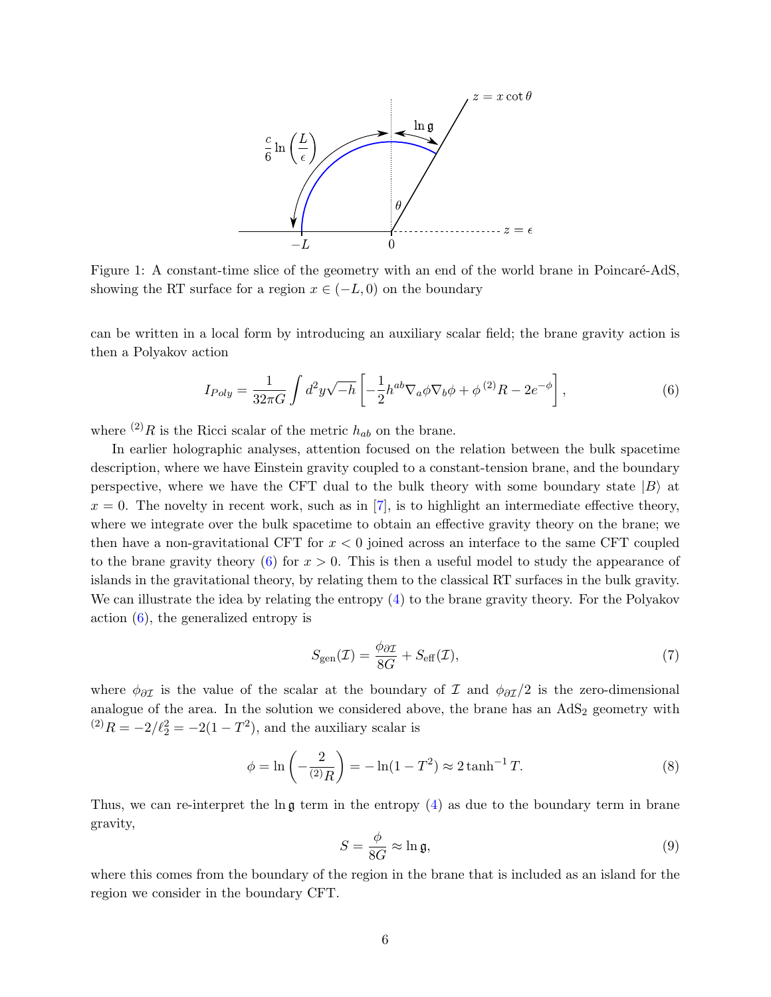<span id="page-5-0"></span>

Figure 1: A constant-time slice of the geometry with an end of the world brane in Poincaré-AdS, showing the RT surface for a region  $x \in (-L, 0)$  on the boundary

can be written in a local form by introducing an auxiliary scalar field; the brane gravity action is then a Polyakov action

<span id="page-5-1"></span>
$$
I_{Poly} = \frac{1}{32\pi G} \int d^2y \sqrt{-h} \left[ -\frac{1}{2} h^{ab} \nabla_a \phi \nabla_b \phi + \phi^{(2)} R - 2e^{-\phi} \right],\tag{6}
$$

where <sup>(2)</sup>R is the Ricci scalar of the metric  $h_{ab}$  on the brane.

In earlier holographic analyses, attention focused on the relation between the bulk spacetime description, where we have Einstein gravity coupled to a constant-tension brane, and the boundary perspective, where we have the CFT dual to the bulk theory with some boundary state  $|B\rangle$  at  $x = 0$ . The novelty in recent work, such as in [\[7\]](#page-18-6), is to highlight an intermediate effective theory, where we integrate over the bulk spacetime to obtain an effective gravity theory on the brane; we then have a non-gravitational CFT for  $x < 0$  joined across an interface to the same CFT coupled to the brane gravity theory [\(6\)](#page-5-1) for  $x > 0$ . This is then a useful model to study the appearance of islands in the gravitational theory, by relating them to the classical RT surfaces in the bulk gravity. We can illustrate the idea by relating the entropy [\(4\)](#page-4-2) to the brane gravity theory. For the Polyakov action [\(6\)](#page-5-1), the generalized entropy is

$$
S_{\rm gen}(\mathcal{I}) = \frac{\phi_{\partial \mathcal{I}}}{8G} + S_{\rm eff}(\mathcal{I}),\tag{7}
$$

where  $\phi_{\partial \mathcal{I}}$  is the value of the scalar at the boundary of  $\mathcal{I}$  and  $\phi_{\partial \mathcal{I}}/2$  is the zero-dimensional analogue of the area. In the solution we considered above, the brane has an  $AdS_2$  geometry with  $^{(2)}R = -2/\ell_2^2 = -2(1 - T^2)$ , and the auxiliary scalar is

$$
\phi = \ln\left(-\frac{2}{(2)R}\right) = -\ln(1 - T^2) \approx 2 \tanh^{-1} T. \tag{8}
$$

Thus, we can re-interpret the  $\ln \mathfrak{g}$  term in the entropy [\(4\)](#page-4-2) as due to the boundary term in brane gravity,

$$
S = \frac{\phi}{8G} \approx \ln \mathfrak{g},\tag{9}
$$

where this comes from the boundary of the region in the brane that is included as an island for the region we consider in the boundary CFT.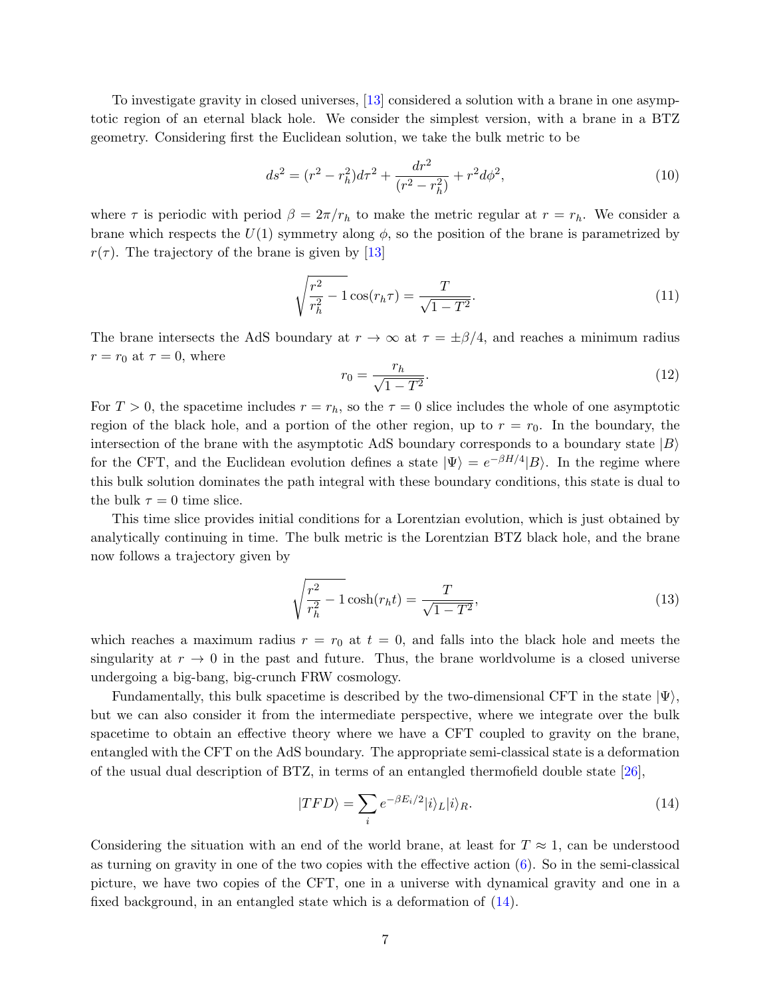To investigate gravity in closed universes, [\[13\]](#page-18-10) considered a solution with a brane in one asymptotic region of an eternal black hole. We consider the simplest version, with a brane in a BTZ geometry. Considering first the Euclidean solution, we take the bulk metric to be

<span id="page-6-1"></span>
$$
ds^{2} = (r^{2} - r_{h}^{2})d\tau^{2} + \frac{dr^{2}}{(r^{2} - r_{h}^{2})} + r^{2}d\phi^{2},
$$
\n(10)

where  $\tau$  is periodic with period  $\beta = 2\pi/r_h$  to make the metric regular at  $r = r_h$ . We consider a brane which respects the  $U(1)$  symmetry along  $\phi$ , so the position of the brane is parametrized by  $r(\tau)$ . The trajectory of the brane is given by [\[13\]](#page-18-10)

<span id="page-6-2"></span>
$$
\sqrt{\frac{r^2}{r_h^2} - 1} \cos(r_h \tau) = \frac{T}{\sqrt{1 - T^2}}.
$$
\n(11)

The brane intersects the AdS boundary at  $r \to \infty$  at  $\tau = \pm \beta/4$ , and reaches a minimum radius  $r = r_0$  at  $\tau = 0$ , where

$$
r_0 = \frac{r_h}{\sqrt{1 - T^2}}.\tag{12}
$$

For  $T > 0$ , the spacetime includes  $r = r_h$ , so the  $\tau = 0$  slice includes the whole of one asymptotic region of the black hole, and a portion of the other region, up to  $r = r_0$ . In the boundary, the intersection of the brane with the asymptotic AdS boundary corresponds to a boundary state  $|B\rangle$ for the CFT, and the Euclidean evolution defines a state  $|\Psi\rangle = e^{-\beta H/4}|B\rangle$ . In the regime where this bulk solution dominates the path integral with these boundary conditions, this state is dual to the bulk  $\tau = 0$  time slice.

This time slice provides initial conditions for a Lorentzian evolution, which is just obtained by analytically continuing in time. The bulk metric is the Lorentzian BTZ black hole, and the brane now follows a trajectory given by

$$
\sqrt{\frac{r^2}{r_h^2} - 1} \cosh(r_h t) = \frac{T}{\sqrt{1 - T^2}},
$$
\n(13)

which reaches a maximum radius  $r = r_0$  at  $t = 0$ , and falls into the black hole and meets the singularity at  $r \to 0$  in the past and future. Thus, the brane worldvolume is a closed universe undergoing a big-bang, big-crunch FRW cosmology.

Fundamentally, this bulk spacetime is described by the two-dimensional CFT in the state  $|\Psi\rangle$ , but we can also consider it from the intermediate perspective, where we integrate over the bulk spacetime to obtain an effective theory where we have a CFT coupled to gravity on the brane, entangled with the CFT on the AdS boundary. The appropriate semi-classical state is a deformation of the usual dual description of BTZ, in terms of an entangled thermofield double state [\[26\]](#page-19-10),

<span id="page-6-0"></span>
$$
|TFD\rangle = \sum_{i} e^{-\beta E_i/2} |i\rangle_L |i\rangle_R. \tag{14}
$$

Considering the situation with an end of the world brane, at least for  $T \approx 1$ , can be understood as turning on gravity in one of the two copies with the effective action  $(6)$ . So in the semi-classical picture, we have two copies of the CFT, one in a universe with dynamical gravity and one in a fixed background, in an entangled state which is a deformation of [\(14\)](#page-6-0).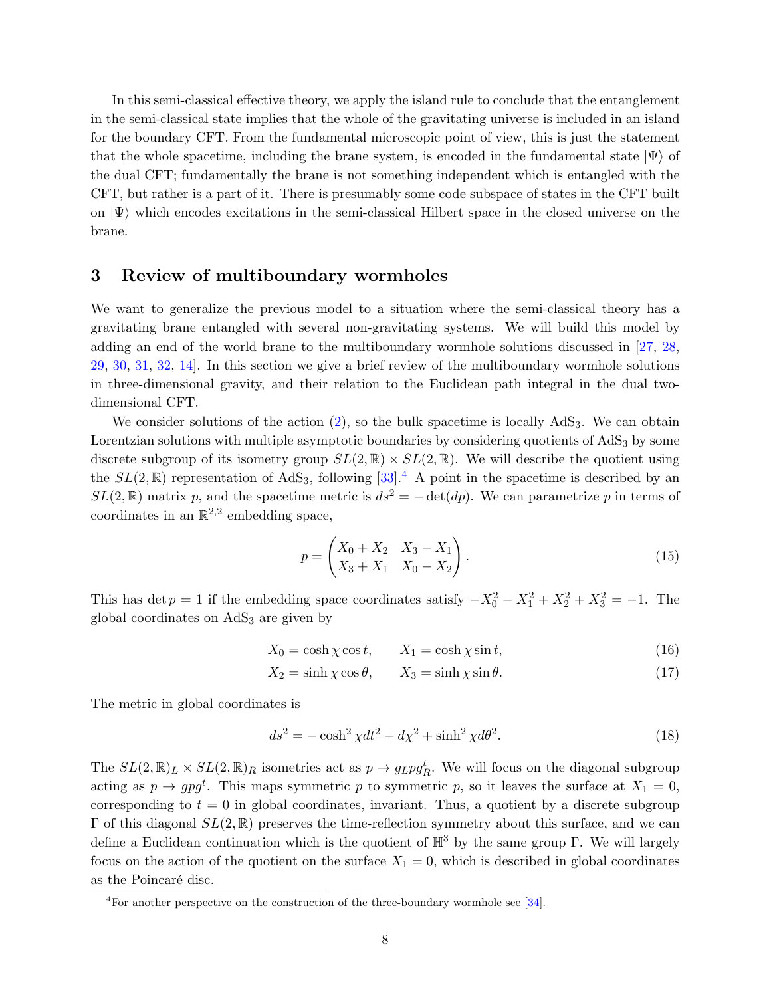In this semi-classical effective theory, we apply the island rule to conclude that the entanglement in the semi-classical state implies that the whole of the gravitating universe is included in an island for the boundary CFT. From the fundamental microscopic point of view, this is just the statement that the whole spacetime, including the brane system, is encoded in the fundamental state  $|\Psi\rangle$  of the dual CFT; fundamentally the brane is not something independent which is entangled with the CFT, but rather is a part of it. There is presumably some code subspace of states in the CFT built on  $|\Psi\rangle$  which encodes excitations in the semi-classical Hilbert space in the closed universe on the brane.

### <span id="page-7-0"></span>3 Review of multiboundary wormholes

We want to generalize the previous model to a situation where the semi-classical theory has a gravitating brane entangled with several non-gravitating systems. We will build this model by adding an end of the world brane to the multiboundary wormhole solutions discussed in [\[27,](#page-19-11) [28,](#page-19-12) [29,](#page-19-13) [30,](#page-19-14) [31,](#page-19-15) [32,](#page-19-16) [14\]](#page-18-13). In this section we give a brief review of the multiboundary wormhole solutions in three-dimensional gravity, and their relation to the Euclidean path integral in the dual twodimensional CFT.

We consider solutions of the action  $(2)$ , so the bulk spacetime is locally  $AdS_3$ . We can obtain Lorentzian solutions with multiple asymptotic boundaries by considering quotients of  $AdS<sub>3</sub>$  by some discrete subgroup of its isometry group  $SL(2,\mathbb{R}) \times SL(2,\mathbb{R})$ . We will describe the quotient using the  $SL(2,\mathbb{R})$  representation of AdS<sub>3</sub>, following [\[33\]](#page-20-0).<sup>[4](#page-7-1)</sup> A point in the spacetime is described by an  $SL(2,\mathbb{R})$  matrix p, and the spacetime metric is  $ds^2 = -\det(dp)$ . We can parametrize p in terms of coordinates in an  $\mathbb{R}^{2,2}$  embedding space,

$$
p = \begin{pmatrix} X_0 + X_2 & X_3 - X_1 \\ X_3 + X_1 & X_0 - X_2 \end{pmatrix}.
$$
 (15)

This has det  $p = 1$  if the embedding space coordinates satisfy  $-X_0^2 - X_1^2 + X_2^2 + X_3^2 = -1$ . The global coordinates on  $AdS<sub>3</sub>$  are given by

$$
X_0 = \cosh \chi \cos t, \qquad X_1 = \cosh \chi \sin t, \tag{16}
$$

$$
X_2 = \sinh\chi\cos\theta, \qquad X_3 = \sinh\chi\sin\theta. \tag{17}
$$

The metric in global coordinates is

$$
ds^2 = -\cosh^2\chi dt^2 + d\chi^2 + \sinh^2\chi d\theta^2.
$$
 (18)

The  $SL(2,\mathbb{R})_L \times SL(2,\mathbb{R})_R$  isometries act as  $p \to g_L pg_R^t$ . We will focus on the diagonal subgroup acting as  $p \to g p g^t$ . This maps symmetric p to symmetric p, so it leaves the surface at  $X_1 = 0$ , corresponding to  $t = 0$  in global coordinates, invariant. Thus, a quotient by a discrete subgroup  $Γ$  of this diagonal  $SL(2, ℝ)$  preserves the time-reflection symmetry about this surface, and we can define a Euclidean continuation which is the quotient of  $\mathbb{H}^3$  by the same group Γ. We will largely focus on the action of the quotient on the surface  $X_1 = 0$ , which is described in global coordinates as the Poincaré disc.

<span id="page-7-1"></span><sup>4</sup>For another perspective on the construction of the three-boundary wormhole see [\[34\]](#page-20-1).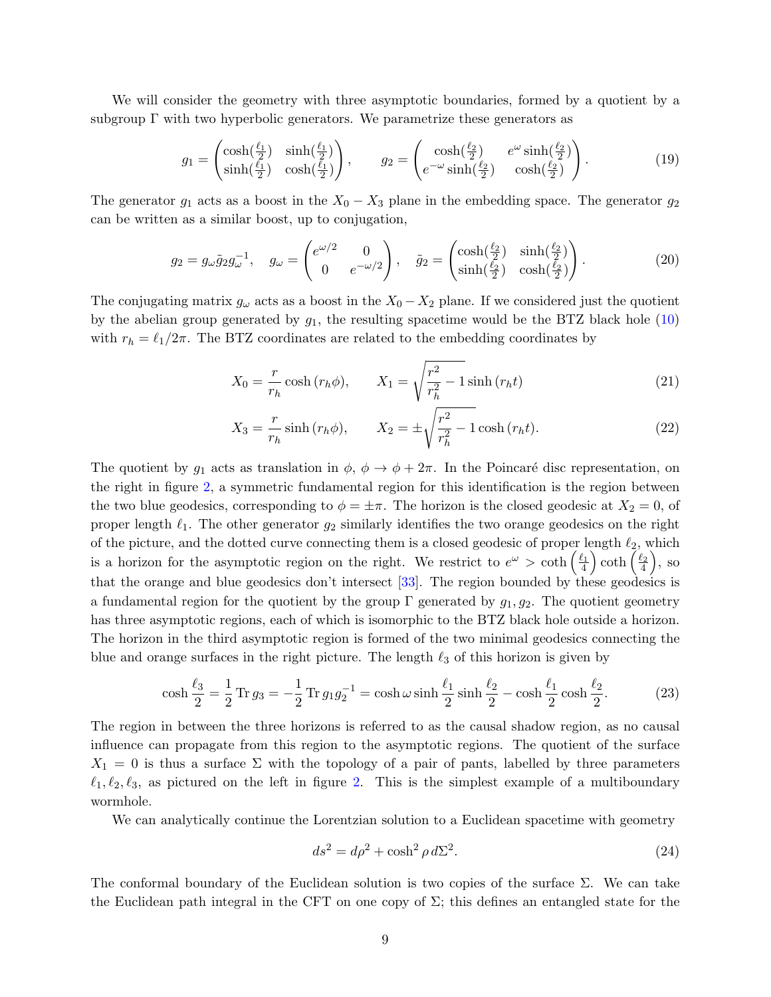We will consider the geometry with three asymptotic boundaries, formed by a quotient by a subgroup  $\Gamma$  with two hyperbolic generators. We parametrize these generators as

$$
g_1 = \begin{pmatrix} \cosh(\frac{\ell_1}{2}) & \sinh(\frac{\ell_1}{2}) \\ \sinh(\frac{\ell_1}{2}) & \cosh(\frac{\ell_1}{2}) \end{pmatrix}, \qquad g_2 = \begin{pmatrix} \cosh(\frac{\ell_2}{2}) & e^{\omega} \sinh(\frac{\ell_2}{2}) \\ e^{-\omega} \sinh(\frac{\ell_2}{2}) & \cosh(\frac{\ell_2}{2}) \end{pmatrix}.
$$
 (19)

The generator  $g_1$  acts as a boost in the  $X_0 - X_3$  plane in the embedding space. The generator  $g_2$ can be written as a similar boost, up to conjugation,

$$
g_2 = g_\omega \tilde{g}_2 g_\omega^{-1}, \quad g_\omega = \begin{pmatrix} e^{\omega/2} & 0\\ 0 & e^{-\omega/2} \end{pmatrix}, \quad \tilde{g}_2 = \begin{pmatrix} \cosh(\frac{\ell_2}{2}) & \sinh(\frac{\ell_2}{2})\\ \sinh(\frac{\ell_2}{2}) & \cosh(\frac{\ell_2}{2}) \end{pmatrix}.
$$
 (20)

The conjugating matrix  $g_{\omega}$  acts as a boost in the  $X_0 - X_2$  plane. If we considered just the quotient by the abelian group generated by  $g_1$ , the resulting spacetime would be the BTZ black hole  $(10)$ with  $r_h = \ell_1/2\pi$ . The BTZ coordinates are related to the embedding coordinates by

$$
X_0 = \frac{r}{r_h} \cosh\left(r_h \phi\right), \qquad X_1 = \sqrt{\frac{r^2}{r_h^2} - 1} \sinh\left(r_h t\right) \tag{21}
$$

$$
X_3 = \frac{r}{r_h} \sinh(r_h \phi), \qquad X_2 = \pm \sqrt{\frac{r^2}{r_h^2} - 1} \cosh(r_h t). \tag{22}
$$

The quotient by  $g_1$  acts as translation in  $\phi$ ,  $\phi \to \phi + 2\pi$ . In the Poincaré disc representation, on the right in figure [2,](#page-9-0) a symmetric fundamental region for this identification is the region between the two blue geodesics, corresponding to  $\phi = \pm \pi$ . The horizon is the closed geodesic at  $X_2 = 0$ , of proper length  $\ell_1$ . The other generator  $g_2$  similarly identifies the two orange geodesics on the right of the picture, and the dotted curve connecting them is a closed geodesic of proper length  $\ell_2$ , which is a horizon for the asymptotic region on the right. We restrict to  $e^{\omega} > \coth\left(\frac{\ell_1}{4}\right) \coth\left(\frac{\ell_2}{4}\right)$ , so that the orange and blue geodesics don't intersect [\[33\]](#page-20-0). The region bounded by these geodesics is a fundamental region for the quotient by the group  $\Gamma$  generated by  $g_1, g_2$ . The quotient geometry has three asymptotic regions, each of which is isomorphic to the BTZ black hole outside a horizon. The horizon in the third asymptotic region is formed of the two minimal geodesics connecting the blue and orange surfaces in the right picture. The length  $\ell_3$  of this horizon is given by

$$
\cosh\frac{\ell_3}{2} = \frac{1}{2}\operatorname{Tr} g_3 = -\frac{1}{2}\operatorname{Tr} g_1 g_2^{-1} = \cosh\omega\sinh\frac{\ell_1}{2}\sinh\frac{\ell_2}{2} - \cosh\frac{\ell_1}{2}\cosh\frac{\ell_2}{2}.\tag{23}
$$

The region in between the three horizons is referred to as the causal shadow region, as no causal influence can propagate from this region to the asymptotic regions. The quotient of the surface  $X_1 = 0$  is thus a surface  $\Sigma$  with the topology of a pair of pants, labelled by three parameters  $\ell_1, \ell_2, \ell_3$ , as pictured on the left in figure [2.](#page-9-0) This is the simplest example of a multiboundary wormhole.

We can analytically continue the Lorentzian solution to a Euclidean spacetime with geometry

<span id="page-8-1"></span><span id="page-8-0"></span>
$$
ds^2 = d\rho^2 + \cosh^2 \rho \, d\Sigma^2. \tag{24}
$$

The conformal boundary of the Euclidean solution is two copies of the surface  $\Sigma$ . We can take the Euclidean path integral in the CFT on one copy of  $\Sigma$ ; this defines an entangled state for the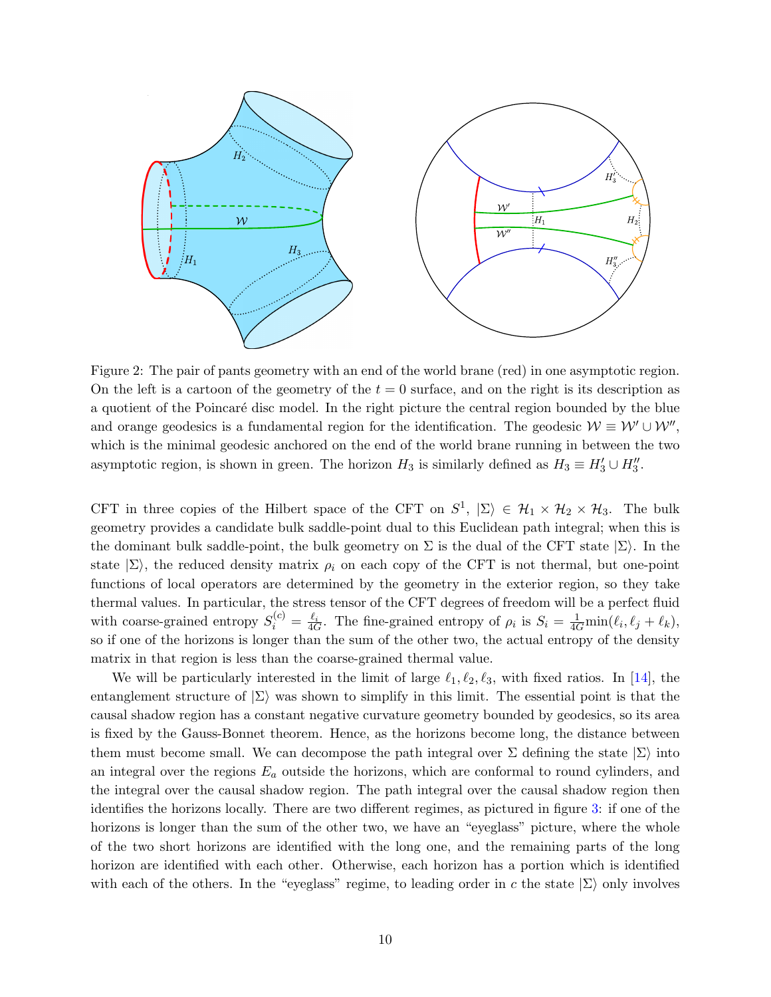<span id="page-9-0"></span>

Figure 2: The pair of pants geometry with an end of the world brane (red) in one asymptotic region. On the left is a cartoon of the geometry of the  $t = 0$  surface, and on the right is its description as a quotient of the Poincaré disc model. In the right picture the central region bounded by the blue and orange geodesics is a fundamental region for the identification. The geodesic  $W \equiv W' \cup W''$ , which is the minimal geodesic anchored on the end of the world brane running in between the two asymptotic region, is shown in green. The horizon  $H_3$  is similarly defined as  $H_3 \equiv H'_3 \cup H''_3$ .

CFT in three copies of the Hilbert space of the CFT on  $S^1$ ,  $|\Sigma\rangle \in \mathcal{H}_1 \times \mathcal{H}_2 \times \mathcal{H}_3$ . The bulk geometry provides a candidate bulk saddle-point dual to this Euclidean path integral; when this is the dominant bulk saddle-point, the bulk geometry on  $\Sigma$  is the dual of the CFT state  $|\Sigma\rangle$ . In the state  $|\Sigma\rangle$ , the reduced density matrix  $\rho_i$  on each copy of the CFT is not thermal, but one-point functions of local operators are determined by the geometry in the exterior region, so they take thermal values. In particular, the stress tensor of the CFT degrees of freedom will be a perfect fluid with coarse-grained entropy  $S_i^{(c)} = \frac{\ell_i}{4G}$ . The fine-grained entropy of  $\rho_i$  is  $S_i = \frac{1}{4G} \min(\ell_i, \ell_j + \ell_k)$ , so if one of the horizons is longer than the sum of the other two, the actual entropy of the density matrix in that region is less than the coarse-grained thermal value.

We will be particularly interested in the limit of large  $\ell_1, \ell_2, \ell_3$ , with fixed ratios. In [\[14\]](#page-18-13), the entanglement structure of  $|\Sigma\rangle$  was shown to simplify in this limit. The essential point is that the causal shadow region has a constant negative curvature geometry bounded by geodesics, so its area is fixed by the Gauss-Bonnet theorem. Hence, as the horizons become long, the distance between them must become small. We can decompose the path integral over  $\Sigma$  defining the state  $|\Sigma\rangle$  into an integral over the regions  $E_a$  outside the horizons, which are conformal to round cylinders, and the integral over the causal shadow region. The path integral over the causal shadow region then identifies the horizons locally. There are two different regimes, as pictured in figure [3:](#page-10-1) if one of the horizons is longer than the sum of the other two, we have an "eyeglass" picture, where the whole of the two short horizons are identified with the long one, and the remaining parts of the long horizon are identified with each other. Otherwise, each horizon has a portion which is identified with each of the others. In the "eyeglass" regime, to leading order in c the state  $|\Sigma\rangle$  only involves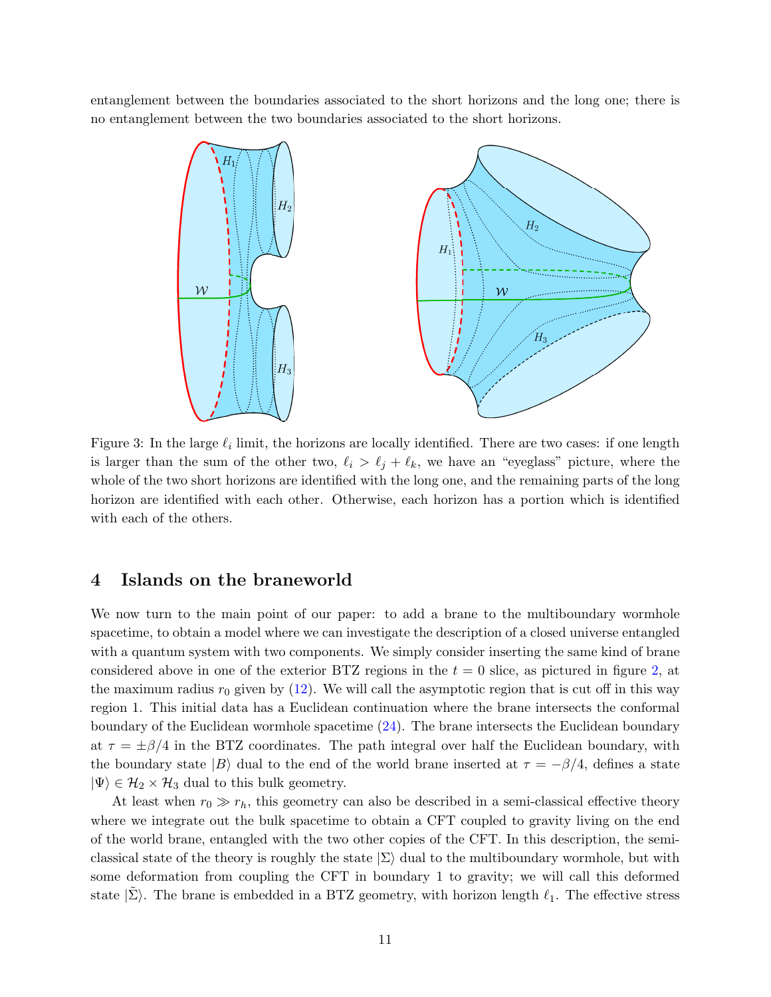<span id="page-10-1"></span>entanglement between the boundaries associated to the short horizons and the long one; there is no entanglement between the two boundaries associated to the short horizons.



Figure 3: In the large  $\ell_i$  limit, the horizons are locally identified. There are two cases: if one length is larger than the sum of the other two,  $\ell_i > \ell_j + \ell_k$ , we have an "eyeglass" picture, where the whole of the two short horizons are identified with the long one, and the remaining parts of the long horizon are identified with each other. Otherwise, each horizon has a portion which is identified with each of the others.

# <span id="page-10-0"></span>4 Islands on the braneworld

We now turn to the main point of our paper: to add a brane to the multiboundary wormhole spacetime, to obtain a model where we can investigate the description of a closed universe entangled with a quantum system with two components. We simply consider inserting the same kind of brane considered above in one of the exterior BTZ regions in the  $t = 0$  slice, as pictured in figure [2,](#page-9-0) at the maximum radius  $r_0$  given by [\(12\)](#page-6-2). We will call the asymptotic region that is cut off in this way region 1. This initial data has a Euclidean continuation where the brane intersects the conformal boundary of the Euclidean wormhole spacetime [\(24\)](#page-8-0). The brane intersects the Euclidean boundary at  $\tau = \pm \beta/4$  in the BTZ coordinates. The path integral over half the Euclidean boundary, with the boundary state  $|B\rangle$  dual to the end of the world brane inserted at  $\tau = -\beta/4$ , defines a state  $|\Psi\rangle \in \mathcal{H}_2 \times \mathcal{H}_3$  dual to this bulk geometry.

At least when  $r_0 \gg r_h$ , this geometry can also be described in a semi-classical effective theory where we integrate out the bulk spacetime to obtain a CFT coupled to gravity living on the end of the world brane, entangled with the two other copies of the CFT. In this description, the semiclassical state of the theory is roughly the state  $|\Sigma\rangle$  dual to the multiboundary wormhole, but with some deformation from coupling the CFT in boundary 1 to gravity; we will call this deformed state  $|\Sigma\rangle$ . The brane is embedded in a BTZ geometry, with horizon length  $\ell_1$ . The effective stress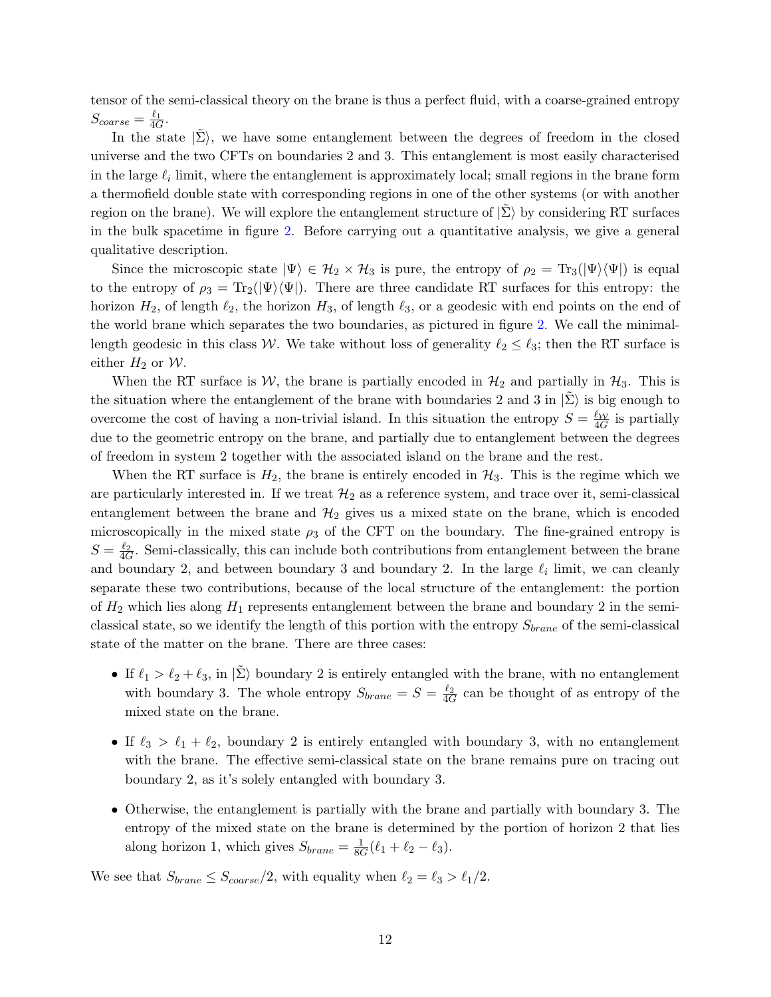tensor of the semi-classical theory on the brane is thus a perfect fluid, with a coarse-grained entropy  $S_{coarse} = \frac{\ell_1}{4G}.$ 

In the state  $|\tilde{\Sigma}\rangle$ , we have some entanglement between the degrees of freedom in the closed universe and the two CFTs on boundaries 2 and 3. This entanglement is most easily characterised in the large  $\ell_i$  limit, where the entanglement is approximately local; small regions in the brane form a thermofield double state with corresponding regions in one of the other systems (or with another region on the brane). We will explore the entanglement structure of  $|\Sigma\rangle$  by considering RT surfaces in the bulk spacetime in figure [2.](#page-9-0) Before carrying out a quantitative analysis, we give a general qualitative description.

Since the microscopic state  $|\Psi\rangle \in \mathcal{H}_2 \times \mathcal{H}_3$  is pure, the entropy of  $\rho_2 = \text{Tr}_3(|\Psi\rangle \langle \Psi|)$  is equal to the entropy of  $\rho_3 = Tr_2(|\Psi\rangle\langle\Psi|)$ . There are three candidate RT surfaces for this entropy: the horizon  $H_2$ , of length  $\ell_2$ , the horizon  $H_3$ , of length  $\ell_3$ , or a geodesic with end points on the end of the world brane which separates the two boundaries, as pictured in figure [2.](#page-9-0) We call the minimallength geodesic in this class W. We take without loss of generality  $\ell_2 \leq \ell_3$ ; then the RT surface is either  $H_2$  or  $W$ .

When the RT surface is  $W$ , the brane is partially encoded in  $\mathcal{H}_2$  and partially in  $\mathcal{H}_3$ . This is the situation where the entanglement of the brane with boundaries 2 and 3 in  $|\tilde{\Sigma}\rangle$  is big enough to overcome the cost of having a non-trivial island. In this situation the entropy  $S = \frac{\ell_{\mathcal{W}}}{4G}$  is partially due to the geometric entropy on the brane, and partially due to entanglement between the degrees of freedom in system 2 together with the associated island on the brane and the rest.

When the RT surface is  $H_2$ , the brane is entirely encoded in  $H_3$ . This is the regime which we are particularly interested in. If we treat  $\mathcal{H}_2$  as a reference system, and trace over it, semi-classical entanglement between the brane and  $\mathcal{H}_2$  gives us a mixed state on the brane, which is encoded microscopically in the mixed state  $\rho_3$  of the CFT on the boundary. The fine-grained entropy is  $S = \frac{\ell_2}{4G}$ . Semi-classically, this can include both contributions from entanglement between the brane and boundary 2, and between boundary 3 and boundary 2. In the large  $\ell_i$  limit, we can cleanly separate these two contributions, because of the local structure of the entanglement: the portion of  $H_2$  which lies along  $H_1$  represents entanglement between the brane and boundary 2 in the semiclassical state, so we identify the length of this portion with the entropy  $S_{brane}$  of the semi-classical state of the matter on the brane. There are three cases:

- If  $\ell_1 > \ell_2 + \ell_3$ , in  $|\tilde{\Sigma}\rangle$  boundary 2 is entirely entangled with the brane, with no entanglement with boundary 3. The whole entropy  $S_{brane} = S = \frac{\ell_2}{4G}$  can be thought of as entropy of the mixed state on the brane.
- If  $\ell_3 > \ell_1 + \ell_2$ , boundary 2 is entirely entangled with boundary 3, with no entanglement with the brane. The effective semi-classical state on the brane remains pure on tracing out boundary 2, as it's solely entangled with boundary 3.
- Otherwise, the entanglement is partially with the brane and partially with boundary 3. The entropy of the mixed state on the brane is determined by the portion of horizon 2 that lies along horizon 1, which gives  $S_{brane} = \frac{1}{80}$  $\frac{1}{8G}(\ell_1 + \ell_2 - \ell_3).$

We see that  $S_{brane} \leq S_{coarse}/2$ , with equality when  $\ell_2 = \ell_3 > \ell_1/2$ .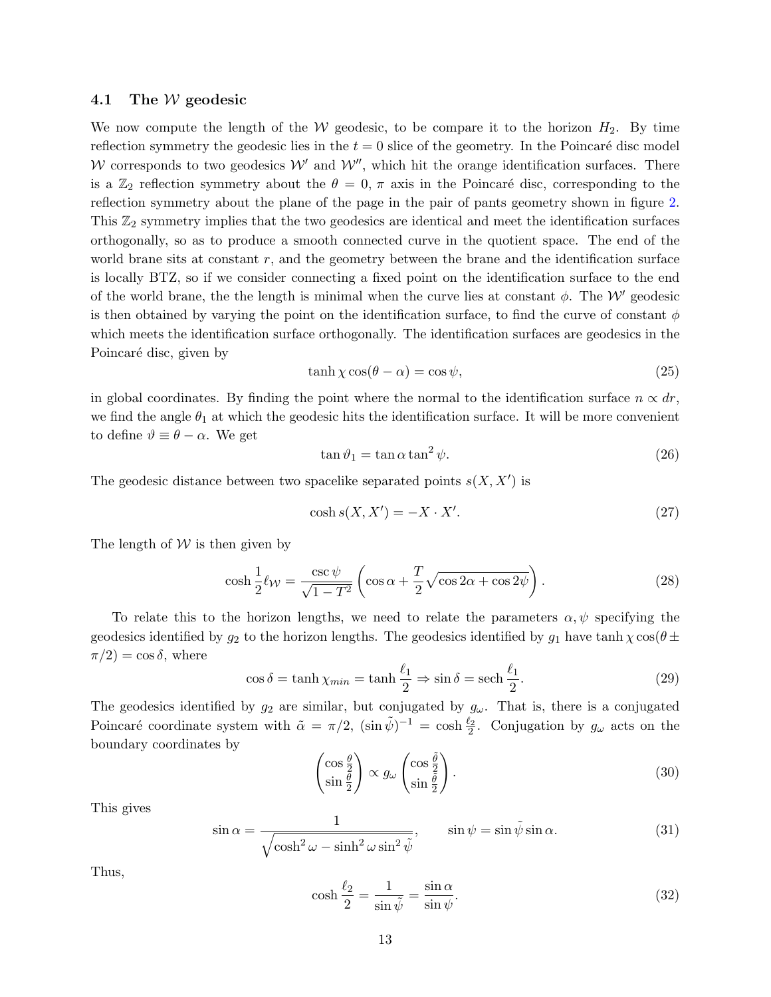#### <span id="page-12-0"></span>4.1 The W geodesic

We now compute the length of the W geodesic, to be compare it to the horizon  $H_2$ . By time reflection symmetry the geodesic lies in the  $t = 0$  slice of the geometry. In the Poincaré disc model W corresponds to two geodesics  $W'$  and  $W''$ , which hit the orange identification surfaces. There is a  $\mathbb{Z}_2$  reflection symmetry about the  $\theta = 0, \pi$  axis in the Poincaré disc, corresponding to the reflection symmetry about the plane of the page in the pair of pants geometry shown in figure [2.](#page-9-0) This  $\mathbb{Z}_2$  symmetry implies that the two geodesics are identical and meet the identification surfaces orthogonally, so as to produce a smooth connected curve in the quotient space. The end of the world brane sits at constant  $r$ , and the geometry between the brane and the identification surface is locally BTZ, so if we consider connecting a fixed point on the identification surface to the end of the world brane, the the length is minimal when the curve lies at constant  $\phi$ . The W' geodesic is then obtained by varying the point on the identification surface, to find the curve of constant  $\phi$ which meets the identification surface orthogonally. The identification surfaces are geodesics in the Poincaré disc, given by

$$
\tanh \chi \cos(\theta - \alpha) = \cos \psi,\tag{25}
$$

in global coordinates. By finding the point where the normal to the identification surface  $n \propto dr$ , we find the angle  $\theta_1$  at which the geodesic hits the identification surface. It will be more convenient to define  $\vartheta \equiv \theta - \alpha$ . We get

$$
\tan \vartheta_1 = \tan \alpha \tan^2 \psi. \tag{26}
$$

The geodesic distance between two spacelike separated points  $s(X, X')$  is

$$
\cosh s(X, X') = -X \cdot X'.\tag{27}
$$

The length of  $W$  is then given by

$$
\cosh\frac{1}{2}\ell_{\mathcal{W}} = \frac{\csc\psi}{\sqrt{1 - T^2}} \left( \cos\alpha + \frac{T}{2} \sqrt{\cos 2\alpha + \cos 2\psi} \right). \tag{28}
$$

To relate this to the horizon lengths, we need to relate the parameters  $\alpha, \psi$  specifying the geodesics identified by  $g_2$  to the horizon lengths. The geodesics identified by  $g_1$  have  $\tanh \chi \cos(\theta \pm \theta)$  $\pi/2$ ) = cos  $\delta$ , where

$$
\cos \delta = \tanh \chi_{min} = \tanh \frac{\ell_1}{2} \Rightarrow \sin \delta = \operatorname{sech} \frac{\ell_1}{2}.
$$
 (29)

The geodesics identified by  $g_2$  are similar, but conjugated by  $g_\omega$ . That is, there is a conjugated Poincaré coordinate system with  $\tilde{\alpha} = \pi/2$ ,  $(\sin \tilde{\psi})^{-1} = \cosh \frac{\ell_2}{2}$ . Conjugation by  $g_{\omega}$  acts on the boundary coordinates by

$$
\begin{pmatrix}\n\cos\frac{\theta}{2} \\
\sin\frac{\theta}{2}\n\end{pmatrix}\n\propto g_\omega \begin{pmatrix}\n\cos\frac{\tilde{\theta}}{2} \\
\sin\frac{\tilde{\theta}}{2}\n\end{pmatrix}.
$$
\n(30)

This gives

$$
\sin \alpha = \frac{1}{\sqrt{\cosh^2 \omega - \sinh^2 \omega \sin^2 \tilde{\psi}}}, \qquad \sin \psi = \sin \tilde{\psi} \sin \alpha. \tag{31}
$$

Thus,

$$
\cosh\frac{\ell_2}{2} = \frac{1}{\sin\tilde{\psi}} = \frac{\sin\alpha}{\sin\psi}.
$$
\n(32)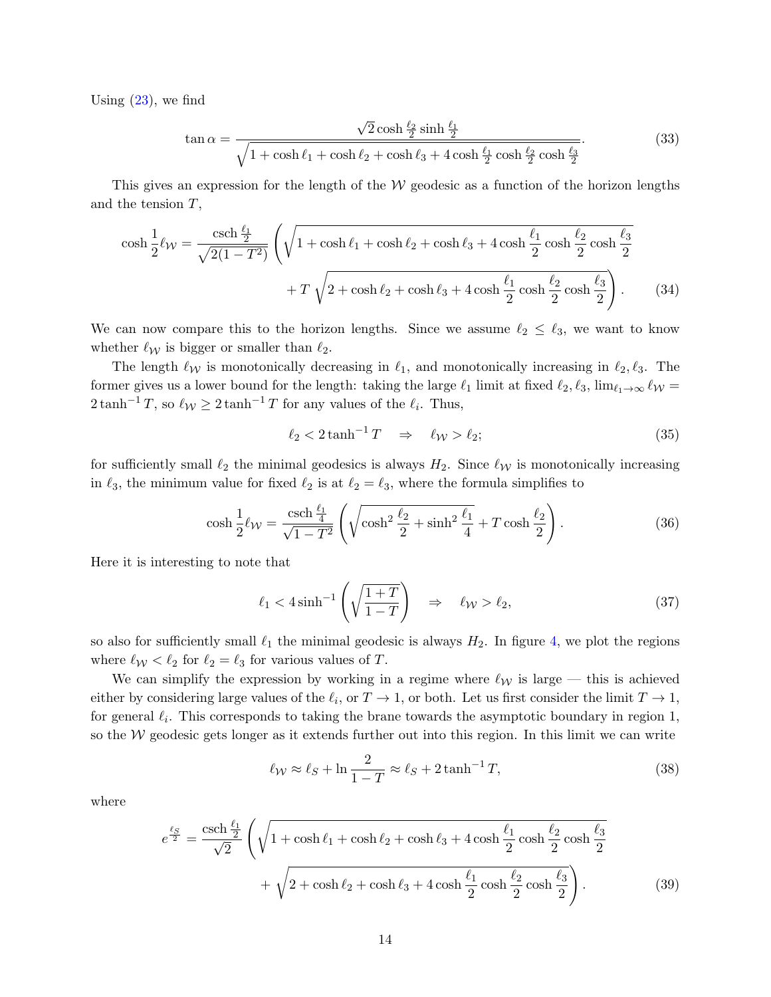Using  $(23)$ , we find

$$
\tan \alpha = \frac{\sqrt{2} \cosh \frac{\ell_2}{2} \sinh \frac{\ell_1}{2}}{\sqrt{1 + \cosh \ell_1 + \cosh \ell_2 + \cosh \ell_3 + 4 \cosh \frac{\ell_1}{2} \cosh \frac{\ell_2}{2} \cosh \frac{\ell_3}{2}}}
$$
(33)

This gives an expression for the length of the  $W$  geodesic as a function of the horizon lengths and the tension  $T$ ,

$$
\cosh \frac{1}{2} \ell_{\mathcal{W}} = \frac{\operatorname{csch} \frac{\ell_1}{2}}{\sqrt{2(1 - T^2)}} \left( \sqrt{1 + \cosh \ell_1 + \cosh \ell_2 + \cosh \ell_3 + 4 \cosh \frac{\ell_1}{2} \cosh \frac{\ell_2}{2} \cosh \frac{\ell_3}{2}} + T \sqrt{2 + \cosh \ell_2 + \cosh \ell_3 + 4 \cosh \frac{\ell_1}{2} \cosh \frac{\ell_2}{2} \cosh \frac{\ell_3}{2}} \right). \tag{34}
$$

We can now compare this to the horizon lengths. Since we assume  $\ell_2 \leq \ell_3$ , we want to know whether  $\ell_{\mathcal{W}}$  is bigger or smaller than  $\ell_2$ .

The length  $\ell_{\mathcal{W}}$  is monotonically decreasing in  $\ell_1$ , and monotonically increasing in  $\ell_2, \ell_3$ . The former gives us a lower bound for the length: taking the large  $\ell_1$  limit at fixed  $\ell_2, \ell_3$ , lim $\ell_1 \rightarrow \infty$   $\ell_{\mathcal{W}}$  =  $2 \tanh^{-1} T$ , so  $\ell_{\mathcal{W}} \geq 2 \tanh^{-1} T$  for any values of the  $\ell_i$ . Thus,

$$
\ell_2 < 2 \tanh^{-1} T \quad \Rightarrow \quad \ell_{\mathcal{W}} > \ell_2; \tag{35}
$$

for sufficiently small  $\ell_2$  the minimal geodesics is always  $H_2$ . Since  $\ell_{\mathcal{W}}$  is monotonically increasing in  $\ell_3$ , the minimum value for fixed  $\ell_2$  is at  $\ell_2 = \ell_3$ , where the formula simplifies to

$$
\cosh\frac{1}{2}\ell_{\mathcal{W}} = \frac{\operatorname{csch}\frac{\ell_{1}}{4}}{\sqrt{1 - T^{2}}} \left( \sqrt{\cosh^{2}\frac{\ell_{2}}{2} + \sinh^{2}\frac{\ell_{1}}{4}} + T\cosh\frac{\ell_{2}}{2} \right). \tag{36}
$$

Here it is interesting to note that

$$
\ell_1 < 4\sinh^{-1}\left(\sqrt{\frac{1+T}{1-T}}\right) \quad \Rightarrow \quad \ell_{\mathcal{W}} > \ell_2,\tag{37}
$$

so also for sufficiently small  $\ell_1$  the minimal geodesic is always  $H_2$ . In figure [4,](#page-14-0) we plot the regions where  $\ell_{\mathcal{W}} < \ell_2$  for  $\ell_2 = \ell_3$  for various values of T.

We can simplify the expression by working in a regime where  $\ell_{\mathcal{W}}$  is large — this is achieved either by considering large values of the  $\ell_i$ , or  $T \to 1$ , or both. Let us first consider the limit  $T \to 1$ , for general  $\ell_i$ . This corresponds to taking the brane towards the asymptotic boundary in region 1, so the  $W$  geodesic gets longer as it extends further out into this region. In this limit we can write

$$
\ell_{\mathcal{W}} \approx \ell_S + \ln \frac{2}{1 - T} \approx \ell_S + 2 \tanh^{-1} T,\tag{38}
$$

where

$$
e^{\frac{\ell_S}{2}} = \frac{\operatorname{csch} \frac{\ell_1}{2}}{\sqrt{2}} \left( \sqrt{1 + \cosh \ell_1 + \cosh \ell_2 + \cosh \ell_3 + 4 \cosh \frac{\ell_1}{2} \cosh \frac{\ell_2}{2} \cosh \frac{\ell_3}{2}} + \sqrt{2 + \cosh \ell_2 + \cosh \ell_3 + 4 \cosh \frac{\ell_1}{2} \cosh \frac{\ell_2}{2} \cosh \frac{\ell_3}{2}} \right).
$$
 (39)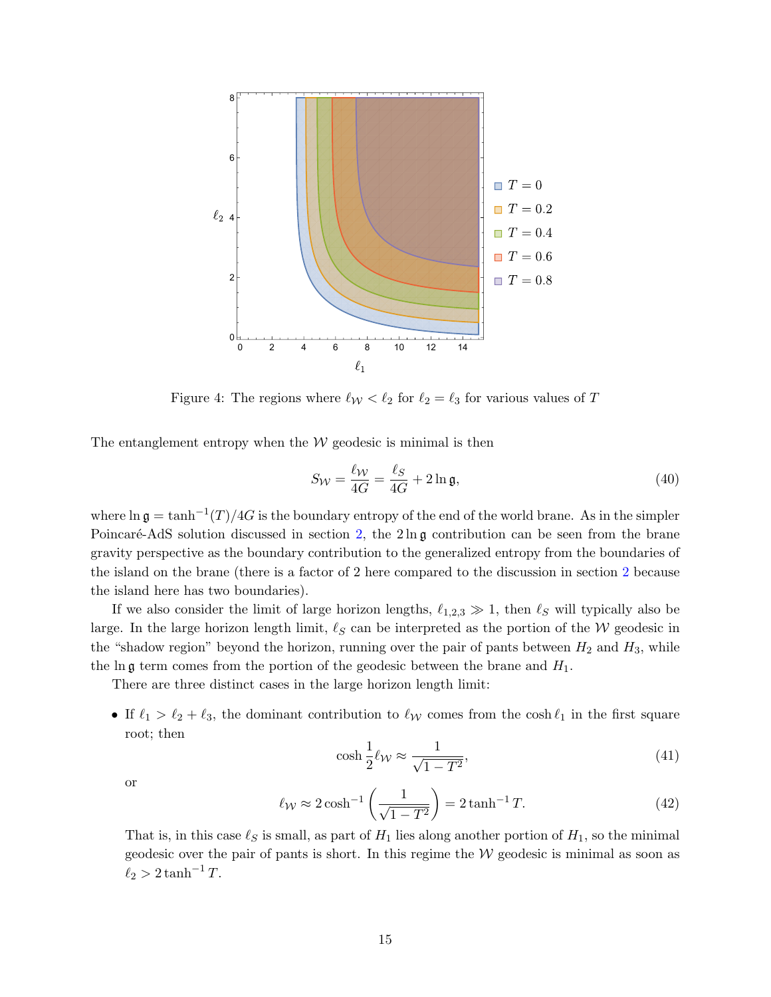<span id="page-14-0"></span>

Figure 4: The regions where  $\ell_{\mathcal{W}} < \ell_2$  for  $\ell_2 = \ell_3$  for various values of T

The entanglement entropy when the  $W$  geodesic is minimal is then

$$
S_W = \frac{\ell_W}{4G} = \frac{\ell_S}{4G} + 2\ln \mathfrak{g},\tag{40}
$$

where  $\ln \mathfrak{g} = \tanh^{-1}(T)/4G$  is the boundary entropy of the end of the world brane. As in the simpler Poincaré-AdS solution discussed in section [2,](#page-3-0) the  $2 \ln \mathfrak{g}$  contribution can be seen from the brane gravity perspective as the boundary contribution to the generalized entropy from the boundaries of the island on the brane (there is a factor of 2 here compared to the discussion in section [2](#page-3-0) because the island here has two boundaries).

If we also consider the limit of large horizon lengths,  $\ell_{1,2,3} \gg 1$ , then  $\ell_S$  will typically also be large. In the large horizon length limit,  $\ell_S$  can be interpreted as the portion of the W geodesic in the "shadow region" beyond the horizon, running over the pair of pants between  $H_2$  and  $H_3$ , while the ln g term comes from the portion of the geodesic between the brane and  $H_1$ .

There are three distinct cases in the large horizon length limit:

• If  $\ell_1 > \ell_2 + \ell_3$ , the dominant contribution to  $\ell_\mathcal{W}$  comes from the cosh  $\ell_1$  in the first square root; then

$$
\cosh\frac{1}{2}\ell_{\mathcal{W}} \approx \frac{1}{\sqrt{1 - T^2}},\tag{41}
$$

or

$$
\ell_{\mathcal{W}} \approx 2\cosh^{-1}\left(\frac{1}{\sqrt{1-T^2}}\right) = 2\tanh^{-1}T.
$$
 (42)

That is, in this case  $\ell_S$  is small, as part of  $H_1$  lies along another portion of  $H_1$ , so the minimal geodesic over the pair of pants is short. In this regime the  $W$  geodesic is minimal as soon as  $\ell_2 > 2 \tanh^{-1} T$ .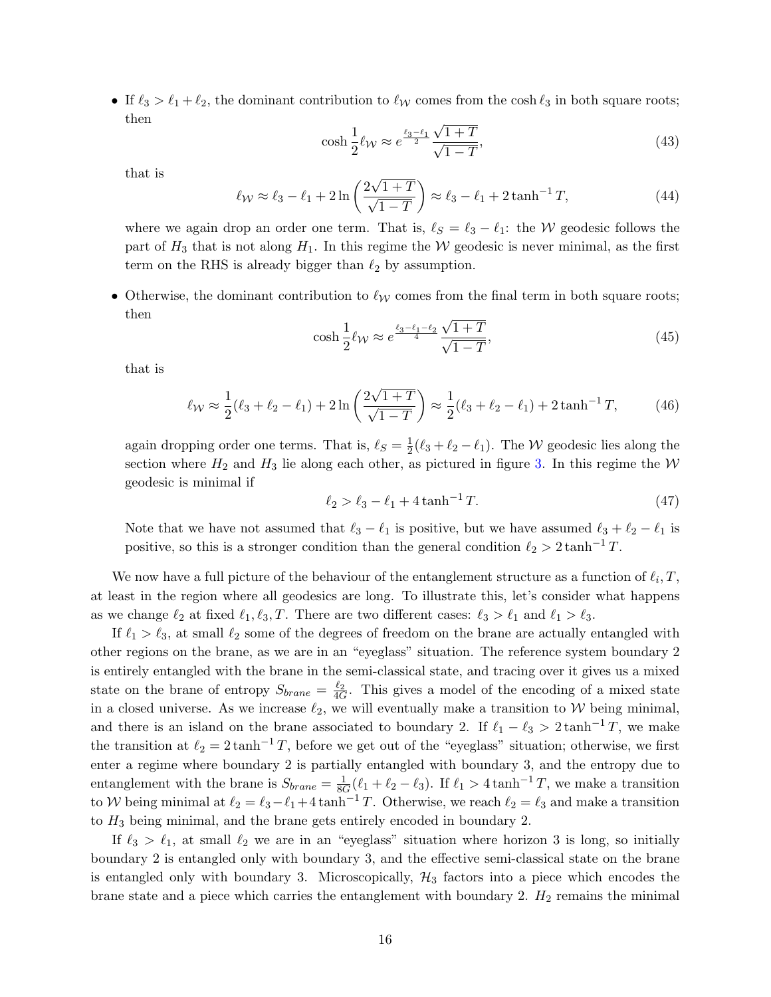• If  $\ell_3 > \ell_1 + \ell_2$ , the dominant contribution to  $\ell_{\mathcal{W}}$  comes from the cosh  $\ell_3$  in both square roots; then √

$$
\cosh\frac{1}{2}\ell_{\mathcal{W}} \approx e^{\frac{\ell_3-\ell_1}{2}}\frac{\sqrt{1+T}}{\sqrt{1-T}},\tag{43}
$$

that is

$$
\ell_{\mathcal{W}} \approx \ell_3 - \ell_1 + 2\ln\left(\frac{2\sqrt{1+T}}{\sqrt{1-T}}\right) \approx \ell_3 - \ell_1 + 2\tanh^{-1}T,\tag{44}
$$

where we again drop an order one term. That is,  $\ell_S = \ell_3 - \ell_1$ : the W geodesic follows the part of  $H_3$  that is not along  $H_1$ . In this regime the W geodesic is never minimal, as the first term on the RHS is already bigger than  $\ell_2$  by assumption.

• Otherwise, the dominant contribution to  $\ell_{\mathcal{W}}$  comes from the final term in both square roots; then √

$$
\cosh\frac{1}{2}\ell_{\mathcal{W}} \approx e^{\frac{\ell_3 - \ell_1 - \ell_2}{4}} \frac{\sqrt{1+T}}{\sqrt{1-T}},\tag{45}
$$

that is

$$
\ell_{\mathcal{W}} \approx \frac{1}{2} (\ell_3 + \ell_2 - \ell_1) + 2 \ln \left( \frac{2\sqrt{1+T}}{\sqrt{1-T}} \right) \approx \frac{1}{2} (\ell_3 + \ell_2 - \ell_1) + 2 \tanh^{-1} T,\tag{46}
$$

again dropping order one terms. That is,  $\ell_S = \frac{1}{2}$  $\frac{1}{2}(\ell_3 + \ell_2 - \ell_1)$ . The W geodesic lies along the section where  $H_2$  and  $H_3$  lie along each other, as pictured in figure [3.](#page-10-1) In this regime the W geodesic is minimal if

$$
\ell_2 > \ell_3 - \ell_1 + 4 \tanh^{-1} T. \tag{47}
$$

Note that we have not assumed that  $\ell_3 - \ell_1$  is positive, but we have assumed  $\ell_3 + \ell_2 - \ell_1$  is positive, so this is a stronger condition than the general condition  $\ell_2 > 2 \tanh^{-1} T$ .

We now have a full picture of the behaviour of the entanglement structure as a function of  $\ell_i, T$ , at least in the region where all geodesics are long. To illustrate this, let's consider what happens as we change  $\ell_2$  at fixed  $\ell_1, \ell_3, T$ . There are two different cases:  $\ell_3 > \ell_1$  and  $\ell_1 > \ell_3$ .

If  $\ell_1 > \ell_3$ , at small  $\ell_2$  some of the degrees of freedom on the brane are actually entangled with other regions on the brane, as we are in an "eyeglass" situation. The reference system boundary 2 is entirely entangled with the brane in the semi-classical state, and tracing over it gives us a mixed state on the brane of entropy  $S_{brane} = \frac{\ell_2}{4G}$ . This gives a model of the encoding of a mixed state in a closed universe. As we increase  $\ell_2$ , we will eventually make a transition to W being minimal, and there is an island on the brane associated to boundary 2. If  $\ell_1 - \ell_3 > 2 \tanh^{-1} T$ , we make the transition at  $\ell_2 = 2 \tanh^{-1} T$ , before we get out of the "eyeglass" situation; otherwise, we first enter a regime where boundary 2 is partially entangled with boundary 3, and the entropy due to entanglement with the brane is  $S_{brane} = \frac{1}{86}$  $\frac{1}{8G}(\ell_1 + \ell_2 - \ell_3)$ . If  $\ell_1 > 4 \tanh^{-1} T$ , we make a transition to W being minimal at  $\ell_2 = \ell_3 - \ell_1 + 4 \tanh^{-1} T$ . Otherwise, we reach  $\ell_2 = \ell_3$  and make a transition to  $H_3$  being minimal, and the brane gets entirely encoded in boundary 2.

If  $\ell_3 > \ell_1$ , at small  $\ell_2$  we are in an "eyeglass" situation where horizon 3 is long, so initially boundary 2 is entangled only with boundary 3, and the effective semi-classical state on the brane is entangled only with boundary 3. Microscopically,  $\mathcal{H}_3$  factors into a piece which encodes the brane state and a piece which carries the entanglement with boundary 2.  $H_2$  remains the minimal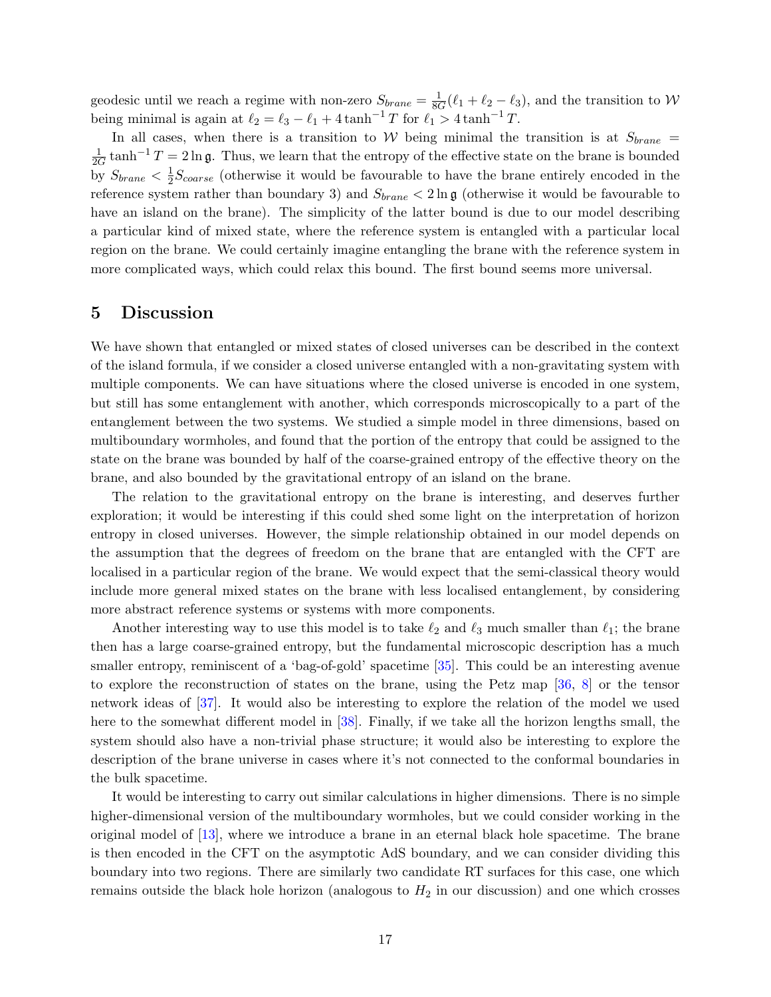geodesic until we reach a regime with non-zero  $S_{brane} = \frac{1}{86}$  $\frac{1}{8G}(\ell_1 + \ell_2 - \ell_3)$ , and the transition to W being minimal is again at  $\ell_2 = \ell_3 - \ell_1 + 4 \tanh^{-1} T$  for  $\ell_1 > 4 \tanh^{-1} T$ .

In all cases, when there is a transition to W being minimal the transition is at  $S_{brane}$ 1  $\frac{1}{2G}$  tanh<sup>-1</sup> T = 2ln g. Thus, we learn that the entropy of the effective state on the brane is bounded by  $S_{brane} < \frac{1}{2}$  $\frac{1}{2}S_{coarse}$  (otherwise it would be favourable to have the brane entirely encoded in the reference system rather than boundary 3) and  $S_{brane} < 2 \ln \mathfrak{g}$  (otherwise it would be favourable to have an island on the brane). The simplicity of the latter bound is due to our model describing a particular kind of mixed state, where the reference system is entangled with a particular local region on the brane. We could certainly imagine entangling the brane with the reference system in more complicated ways, which could relax this bound. The first bound seems more universal.

# <span id="page-16-0"></span>5 Discussion

We have shown that entangled or mixed states of closed universes can be described in the context of the island formula, if we consider a closed universe entangled with a non-gravitating system with multiple components. We can have situations where the closed universe is encoded in one system, but still has some entanglement with another, which corresponds microscopically to a part of the entanglement between the two systems. We studied a simple model in three dimensions, based on multiboundary wormholes, and found that the portion of the entropy that could be assigned to the state on the brane was bounded by half of the coarse-grained entropy of the effective theory on the brane, and also bounded by the gravitational entropy of an island on the brane.

The relation to the gravitational entropy on the brane is interesting, and deserves further exploration; it would be interesting if this could shed some light on the interpretation of horizon entropy in closed universes. However, the simple relationship obtained in our model depends on the assumption that the degrees of freedom on the brane that are entangled with the CFT are localised in a particular region of the brane. We would expect that the semi-classical theory would include more general mixed states on the brane with less localised entanglement, by considering more abstract reference systems or systems with more components.

Another interesting way to use this model is to take  $\ell_2$  and  $\ell_3$  much smaller than  $\ell_1$ ; the brane then has a large coarse-grained entropy, but the fundamental microscopic description has a much smaller entropy, reminiscent of a 'bag-of-gold' spacetime [\[35\]](#page-20-2). This could be an interesting avenue to explore the reconstruction of states on the brane, using the Petz map [\[36,](#page-20-3) [8\]](#page-18-7) or the tensor network ideas of [\[37\]](#page-20-4). It would also be interesting to explore the relation of the model we used here to the somewhat different model in [\[38\]](#page-20-5). Finally, if we take all the horizon lengths small, the system should also have a non-trivial phase structure; it would also be interesting to explore the description of the brane universe in cases where it's not connected to the conformal boundaries in the bulk spacetime.

It would be interesting to carry out similar calculations in higher dimensions. There is no simple higher-dimensional version of the multiboundary wormholes, but we could consider working in the original model of [\[13\]](#page-18-10), where we introduce a brane in an eternal black hole spacetime. The brane is then encoded in the CFT on the asymptotic AdS boundary, and we can consider dividing this boundary into two regions. There are similarly two candidate RT surfaces for this case, one which remains outside the black hole horizon (analogous to  $H_2$  in our discussion) and one which crosses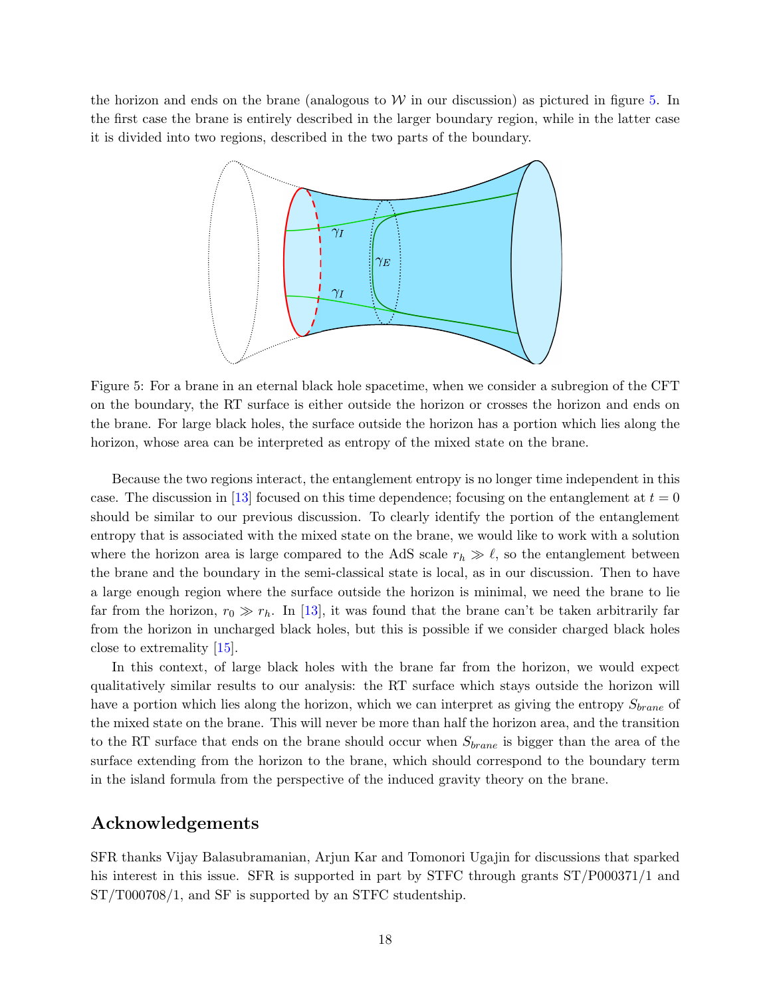<span id="page-17-0"></span>the horizon and ends on the brane (analogous to  $W$  in our discussion) as pictured in figure [5.](#page-17-0) In the first case the brane is entirely described in the larger boundary region, while in the latter case it is divided into two regions, described in the two parts of the boundary.



Figure 5: For a brane in an eternal black hole spacetime, when we consider a subregion of the CFT on the boundary, the RT surface is either outside the horizon or crosses the horizon and ends on the brane. For large black holes, the surface outside the horizon has a portion which lies along the horizon, whose area can be interpreted as entropy of the mixed state on the brane.

Because the two regions interact, the entanglement entropy is no longer time independent in this case. The discussion in [\[13\]](#page-18-10) focused on this time dependence; focusing on the entanglement at  $t = 0$ should be similar to our previous discussion. To clearly identify the portion of the entanglement entropy that is associated with the mixed state on the brane, we would like to work with a solution where the horizon area is large compared to the AdS scale  $r_h \gg \ell$ , so the entanglement between the brane and the boundary in the semi-classical state is local, as in our discussion. Then to have a large enough region where the surface outside the horizon is minimal, we need the brane to lie far from the horizon,  $r_0 \gg r_h$ . In [\[13\]](#page-18-10), it was found that the brane can't be taken arbitrarily far from the horizon in uncharged black holes, but this is possible if we consider charged black holes close to extremality [\[15\]](#page-18-14).

In this context, of large black holes with the brane far from the horizon, we would expect qualitatively similar results to our analysis: the RT surface which stays outside the horizon will have a portion which lies along the horizon, which we can interpret as giving the entropy  $S_{brane}$  of the mixed state on the brane. This will never be more than half the horizon area, and the transition to the RT surface that ends on the brane should occur when  $S_{brane}$  is bigger than the area of the surface extending from the horizon to the brane, which should correspond to the boundary term in the island formula from the perspective of the induced gravity theory on the brane.

## Acknowledgements

SFR thanks Vijay Balasubramanian, Arjun Kar and Tomonori Ugajin for discussions that sparked his interest in this issue. SFR is supported in part by STFC through grants  $ST/PO00371/1$  and ST/T000708/1, and SF is supported by an STFC studentship.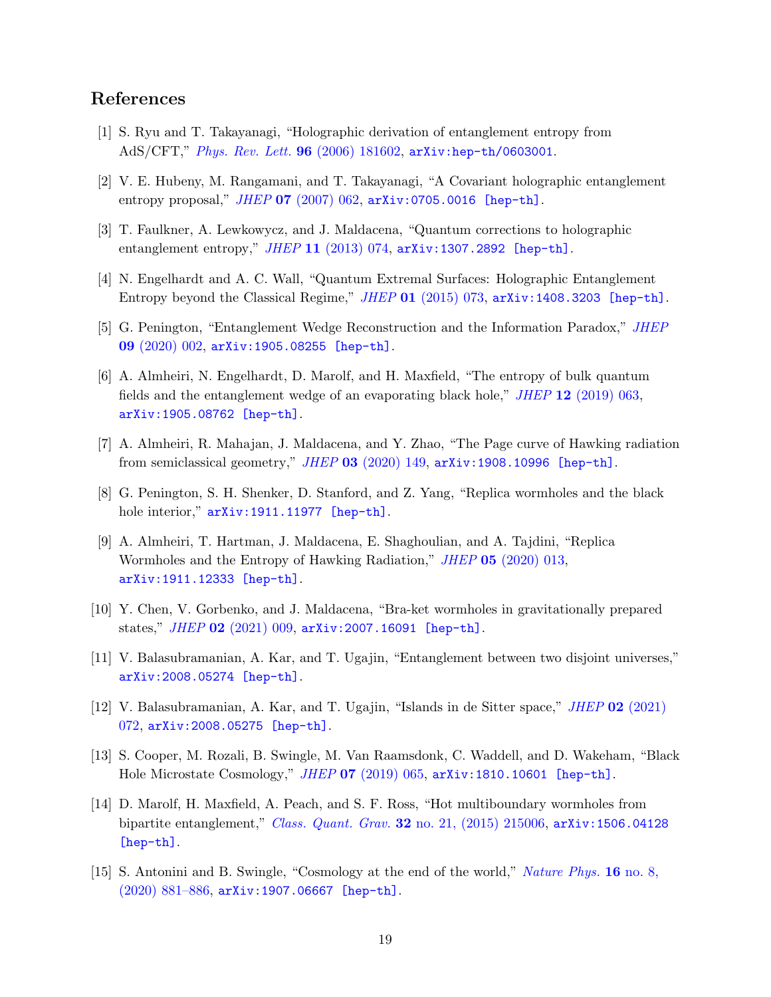# References

- <span id="page-18-0"></span>[1] S. Ryu and T. Takayanagi, "Holographic derivation of entanglement entropy from AdS/CFT," [Phys. Rev. Lett.](http://dx.doi.org/10.1103/PhysRevLett.96.181602) 96 (2006) 181602, [arXiv:hep-th/0603001](http://arxiv.org/abs/hep-th/0603001).
- <span id="page-18-1"></span>[2] V. E. Hubeny, M. Rangamani, and T. Takayanagi, "A Covariant holographic entanglement entropy proposal," JHEP 07 [\(2007\) 062,](http://dx.doi.org/10.1088/1126-6708/2007/07/062) [arXiv:0705.0016 \[hep-th\]](http://arxiv.org/abs/0705.0016).
- <span id="page-18-2"></span>[3] T. Faulkner, A. Lewkowycz, and J. Maldacena, "Quantum corrections to holographic entanglement entropy," JHEP 11 [\(2013\) 074,](http://dx.doi.org/10.1007/JHEP11(2013)074) [arXiv:1307.2892 \[hep-th\]](http://arxiv.org/abs/1307.2892).
- <span id="page-18-3"></span>[4] N. Engelhardt and A. C. Wall, "Quantum Extremal Surfaces: Holographic Entanglement Entropy beyond the Classical Regime," JHEP 01 [\(2015\) 073,](http://dx.doi.org/10.1007/JHEP01(2015)073) [arXiv:1408.3203 \[hep-th\]](http://arxiv.org/abs/1408.3203).
- <span id="page-18-4"></span>[5] G. Penington, "Entanglement Wedge Reconstruction and the Information Paradox," [JHEP](http://dx.doi.org/10.1007/JHEP09(2020)002) 09 [\(2020\) 002,](http://dx.doi.org/10.1007/JHEP09(2020)002) [arXiv:1905.08255 \[hep-th\]](http://arxiv.org/abs/1905.08255).
- <span id="page-18-5"></span>[6] A. Almheiri, N. Engelhardt, D. Marolf, and H. Maxfield, "The entropy of bulk quantum fields and the entanglement wedge of an evaporating black hole," JHEP 12 [\(2019\) 063,](http://dx.doi.org/10.1007/JHEP12(2019)063) [arXiv:1905.08762 \[hep-th\]](http://arxiv.org/abs/1905.08762).
- <span id="page-18-6"></span>[7] A. Almheiri, R. Mahajan, J. Maldacena, and Y. Zhao, "The Page curve of Hawking radiation from semiclassical geometry,"  $JHEP$  03 [\(2020\) 149,](http://dx.doi.org/10.1007/JHEP03(2020)149)  $arXiv:1908.10996$  [hep-th].
- <span id="page-18-7"></span>[8] G. Penington, S. H. Shenker, D. Stanford, and Z. Yang, "Replica wormholes and the black hole interior,"  $arXiv:1911.11977$  [hep-th].
- <span id="page-18-8"></span>[9] A. Almheiri, T. Hartman, J. Maldacena, E. Shaghoulian, and A. Tajdini, "Replica Wormholes and the Entropy of Hawking Radiation," JHEP 05 [\(2020\) 013,](http://dx.doi.org/10.1007/JHEP05(2020)013) [arXiv:1911.12333 \[hep-th\]](http://arxiv.org/abs/1911.12333).
- <span id="page-18-9"></span>[10] Y. Chen, V. Gorbenko, and J. Maldacena, "Bra-ket wormholes in gravitationally prepared states," JHEP 02 [\(2021\) 009,](http://dx.doi.org/10.1007/JHEP02(2021)009) [arXiv:2007.16091 \[hep-th\]](http://arxiv.org/abs/2007.16091).
- <span id="page-18-11"></span>[11] V. Balasubramanian, A. Kar, and T. Ugajin, "Entanglement between two disjoint universes," [arXiv:2008.05274 \[hep-th\]](http://arxiv.org/abs/2008.05274).
- <span id="page-18-12"></span>[12] V. Balasubramanian, A. Kar, and T. Ugajin, "Islands in de Sitter space," JHEP 02 [\(2021\)](http://dx.doi.org/10.1007/JHEP02(2021)072) [072,](http://dx.doi.org/10.1007/JHEP02(2021)072) [arXiv:2008.05275 \[hep-th\]](http://arxiv.org/abs/2008.05275).
- <span id="page-18-10"></span>[13] S. Cooper, M. Rozali, B. Swingle, M. Van Raamsdonk, C. Waddell, and D. Wakeham, "Black Hole Microstate Cosmology," *JHEP* 07 [\(2019\) 065,](http://dx.doi.org/10.1007/JHEP07(2019)065) [arXiv:1810.10601 \[hep-th\]](http://arxiv.org/abs/1810.10601).
- <span id="page-18-13"></span>[14] D. Marolf, H. Maxfield, A. Peach, and S. F. Ross, "Hot multiboundary wormholes from bipartite entanglement," Class. Quant. Grav. 32 [no. 21, \(2015\) 215006,](http://dx.doi.org/10.1088/0264-9381/32/21/215006) arXiv: 1506.04128 [\[hep-th\]](http://arxiv.org/abs/1506.04128).
- <span id="page-18-14"></span>[15] S. Antonini and B. Swingle, "Cosmology at the end of the world," [Nature Phys.](http://dx.doi.org/10.1038/s41567-020-0909-6) 16 no. 8,  $(2020)$  881–886, [arXiv:1907.06667 \[hep-th\]](http://arxiv.org/abs/1907.06667).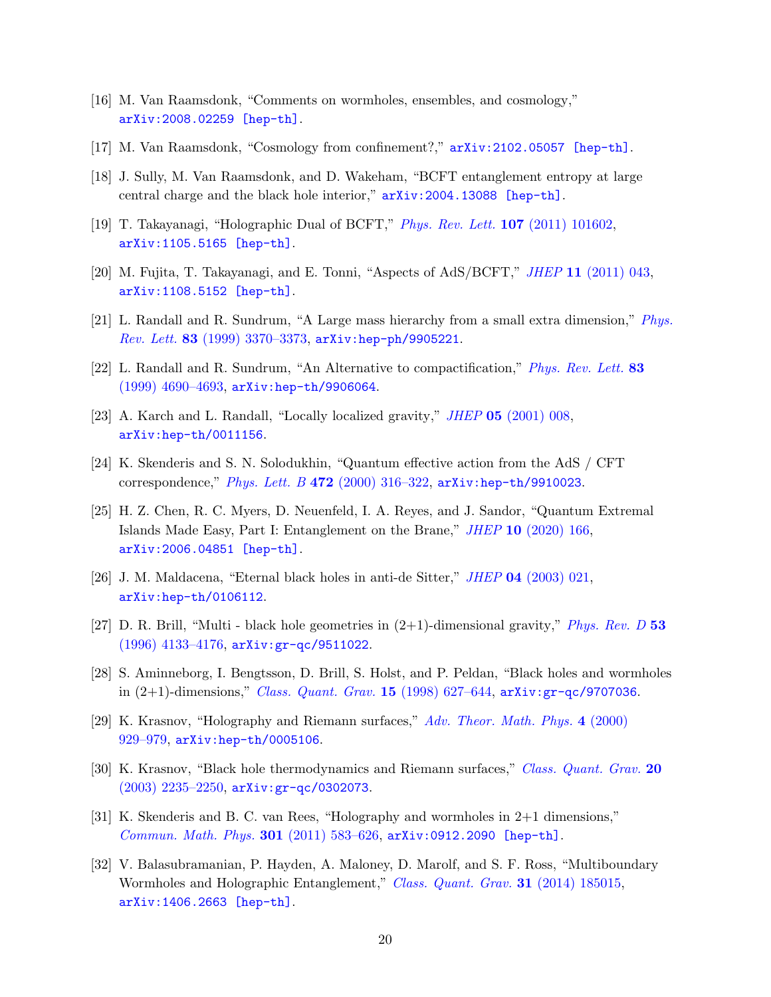- <span id="page-19-0"></span>[16] M. Van Raamsdonk, "Comments on wormholes, ensembles, and cosmology," [arXiv:2008.02259 \[hep-th\]](http://arxiv.org/abs/2008.02259).
- <span id="page-19-1"></span>[17] M. Van Raamsdonk, "Cosmology from confinement?," [arXiv:2102.05057 \[hep-th\]](http://arxiv.org/abs/2102.05057).
- <span id="page-19-2"></span>[18] J. Sully, M. Van Raamsdonk, and D. Wakeham, "BCFT entanglement entropy at large central charge and the black hole interior," [arXiv:2004.13088 \[hep-th\]](http://arxiv.org/abs/2004.13088).
- <span id="page-19-3"></span>[19] T. Takayanagi, "Holographic Dual of BCFT," [Phys. Rev. Lett.](http://dx.doi.org/10.1103/PhysRevLett.107.101602) 107 (2011) 101602, [arXiv:1105.5165 \[hep-th\]](http://arxiv.org/abs/1105.5165).
- <span id="page-19-4"></span>[20] M. Fujita, T. Takayanagi, and E. Tonni, "Aspects of AdS/BCFT," JHEP 11 [\(2011\) 043,](http://dx.doi.org/10.1007/JHEP11(2011)043) [arXiv:1108.5152 \[hep-th\]](http://arxiv.org/abs/1108.5152).
- <span id="page-19-5"></span>[21] L. Randall and R. Sundrum, "A Large mass hierarchy from a small extra dimension," [Phys.](http://dx.doi.org/10.1103/PhysRevLett.83.3370) Rev. Lett. 83 [\(1999\) 3370–3373,](http://dx.doi.org/10.1103/PhysRevLett.83.3370) [arXiv:hep-ph/9905221](http://arxiv.org/abs/hep-ph/9905221).
- <span id="page-19-6"></span>[22] L. Randall and R. Sundrum, "An Alternative to compactification," [Phys. Rev. Lett.](http://dx.doi.org/10.1103/PhysRevLett.83.4690) 83 [\(1999\) 4690–4693,](http://dx.doi.org/10.1103/PhysRevLett.83.4690) [arXiv:hep-th/9906064](http://arxiv.org/abs/hep-th/9906064).
- <span id="page-19-7"></span>[23] A. Karch and L. Randall, "Locally localized gravity," JHEP 05 [\(2001\) 008,](http://dx.doi.org/10.1088/1126-6708/2001/05/008) [arXiv:hep-th/0011156](http://arxiv.org/abs/hep-th/0011156).
- <span id="page-19-8"></span>[24] K. Skenderis and S. N. Solodukhin, "Quantum effective action from the AdS / CFT correspondence," Phys. Lett. B 472 [\(2000\) 316–322,](http://dx.doi.org/10.1016/S0370-2693(99)01467-7)  $arXiv:hep-th/9910023$ .
- <span id="page-19-9"></span>[25] H. Z. Chen, R. C. Myers, D. Neuenfeld, I. A. Reyes, and J. Sandor, "Quantum Extremal Islands Made Easy, Part I: Entanglement on the Brane," JHEP 10 [\(2020\) 166,](http://dx.doi.org/10.1007/JHEP10(2020)166) [arXiv:2006.04851 \[hep-th\]](http://arxiv.org/abs/2006.04851).
- <span id="page-19-10"></span>[26] J. M. Maldacena, "Eternal black holes in anti-de Sitter," JHEP 04 [\(2003\) 021,](http://dx.doi.org/10.1088/1126-6708/2003/04/021) [arXiv:hep-th/0106112](http://arxiv.org/abs/hep-th/0106112).
- <span id="page-19-11"></span>[27] D. R. Brill, "Multi - black hole geometries in  $(2+1)$ -dimensional gravity," *[Phys. Rev. D](http://dx.doi.org/10.1103/PhysRevD.53.R4133)* 53 [\(1996\) 4133–4176,](http://dx.doi.org/10.1103/PhysRevD.53.R4133) [arXiv:gr-qc/9511022](http://arxiv.org/abs/gr-qc/9511022).
- <span id="page-19-12"></span>[28] S. Aminneborg, I. Bengtsson, D. Brill, S. Holst, and P. Peldan, "Black holes and wormholes in  $(2+1)$ -dimensions," *[Class. Quant. Grav.](http://dx.doi.org/10.1088/0264-9381/15/3/013)* **15** (1998) 627–644,  $\arXiv:gr-qc/9707036$  $\arXiv:gr-qc/9707036$ .
- <span id="page-19-13"></span>[29] K. Krasnov, "Holography and Riemann surfaces," [Adv. Theor. Math. Phys.](http://dx.doi.org/10.4310/ATMP.2000.v4.n4.a5) 4 (2000) [929–979,](http://dx.doi.org/10.4310/ATMP.2000.v4.n4.a5) [arXiv:hep-th/0005106](http://arxiv.org/abs/hep-th/0005106).
- <span id="page-19-14"></span>[30] K. Krasnov, "Black hole thermodynamics and Riemann surfaces," [Class. Quant. Grav.](http://dx.doi.org/10.1088/0264-9381/20/11/319) 20 [\(2003\) 2235–2250,](http://dx.doi.org/10.1088/0264-9381/20/11/319) [arXiv:gr-qc/0302073](http://arxiv.org/abs/gr-qc/0302073).
- <span id="page-19-15"></span>[31] K. Skenderis and B. C. van Rees, "Holography and wormholes in 2+1 dimensions," [Commun. Math. Phys.](http://dx.doi.org/10.1007/s00220-010-1163-z) 301 (2011) 583–626, [arXiv:0912.2090 \[hep-th\]](http://arxiv.org/abs/0912.2090).
- <span id="page-19-16"></span>[32] V. Balasubramanian, P. Hayden, A. Maloney, D. Marolf, and S. F. Ross, "Multiboundary Wormholes and Holographic Entanglement," [Class. Quant. Grav.](http://dx.doi.org/10.1088/0264-9381/31/18/185015) 31 (2014) 185015, [arXiv:1406.2663 \[hep-th\]](http://arxiv.org/abs/1406.2663).